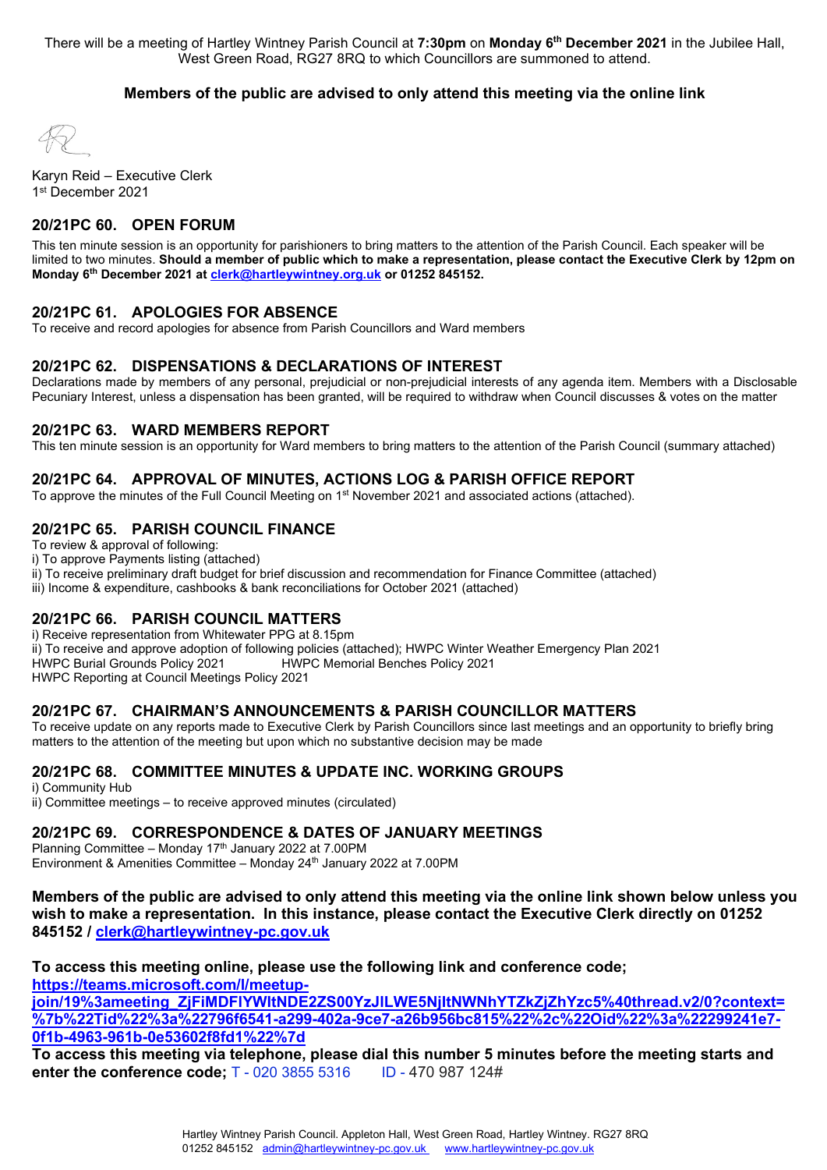There will be a meeting of Hartley Wintney Parish Council at **7:30pm** on **Monday 6th December 2021** in the Jubilee Hall, West Green Road, RG27 8RQ to which Councillors are summoned to attend.

#### **Members of the public are advised to only attend this meeting via the online link**

Karyn Reid – Executive Clerk 1st December 2021

## **20/21PC 60. OPEN FORUM**

This ten minute session is an opportunity for parishioners to bring matters to the attention of the Parish Council. Each speaker will be limited to two minutes. **Should a member of public which to make a representation, please contact the Executive Clerk by 12pm on Monday 6th December 2021 a[t clerk@hartleywintney.org.uk](mailto:clerk@hartleywintney.org.uk) or 01252 845152.**

#### **20/21PC 61. APOLOGIES FOR ABSENCE**

To receive and record apologies for absence from Parish Councillors and Ward members

#### **20/21PC 62. DISPENSATIONS & DECLARATIONS OF INTEREST**

Declarations made by members of any personal, prejudicial or non-prejudicial interests of any agenda item. Members with a Disclosable Pecuniary Interest, unless a dispensation has been granted, will be required to withdraw when Council discusses & votes on the matter

#### **20/21PC 63. WARD MEMBERS REPORT**

This ten minute session is an opportunity for Ward members to bring matters to the attention of the Parish Council (summary attached)

#### **20/21PC 64. APPROVAL OF MINUTES, ACTIONS LOG & PARISH OFFICE REPORT**

To approve the minutes of the Full Council Meeting on 1<sup>st</sup> November 2021 and associated actions (attached).

#### **20/21PC 65. PARISH COUNCIL FINANCE**

To review & approval of following:

- i) To approve Payments listing (attached)
- ii) To receive preliminary draft budget for brief discussion and recommendation for Finance Committee (attached)

iii) Income & expenditure, cashbooks & bank reconciliations for October 2021 (attached)

#### **20/21PC 66. PARISH COUNCIL MATTERS**

i) Receive representation from Whitewater PPG at 8.15pm

ii) To receive and approve adoption of following policies (attached); HWPC Winter Weather Emergency Plan 2021

HWPC Memorial Benches Policy 2021

HWPC Reporting at Council Meetings Policy 2021

#### **20/21PC 67. CHAIRMAN'S ANNOUNCEMENTS & PARISH COUNCILLOR MATTERS**

To receive update on any reports made to Executive Clerk by Parish Councillors since last meetings and an opportunity to briefly bring matters to the attention of the meeting but upon which no substantive decision may be made

#### **20/21PC 68. COMMITTEE MINUTES & UPDATE INC. WORKING GROUPS**

i) Community Hub ii) Committee meetings – to receive approved minutes (circulated)

#### **20/21PC 69. CORRESPONDENCE & DATES OF JANUARY MEETINGS**

Planning Committee – Monday 17<sup>th</sup> January 2022 at 7.00PM Environment & Amenities Committee – Monday 24<sup>th</sup> January 2022 at 7.00PM

**Members of the public are advised to only attend this meeting via the online link shown below unless you wish to make a representation. In this instance, please contact the Executive Clerk directly on 01252 845152 / [clerk@hartleywintney-pc.gov.uk](mailto:clerk@hartleywintney-pc.gov.uk)**

**To access this meeting online, please use the following link and conference code; [https://teams.microsoft.com/l/meetup-](https://teams.microsoft.com/l/meetup-join/19%3ameeting_ZjFiMDFlYWItNDE2ZS00YzJlLWE5NjItNWNhYTZkZjZhYzc5%40thread.v2/0?context=%7b%22Tid%22%3a%22796f6541-a299-402a-9ce7-a26b956bc815%22%2c%22Oid%22%3a%22299241e7-0f1b-4963-961b-0e53602f8fd1%22%7d)**

**[join/19%3ameeting\\_ZjFiMDFlYWItNDE2ZS00YzJlLWE5NjItNWNhYTZkZjZhYzc5%40thread.v2/0?context=](https://teams.microsoft.com/l/meetup-join/19%3ameeting_ZjFiMDFlYWItNDE2ZS00YzJlLWE5NjItNWNhYTZkZjZhYzc5%40thread.v2/0?context=%7b%22Tid%22%3a%22796f6541-a299-402a-9ce7-a26b956bc815%22%2c%22Oid%22%3a%22299241e7-0f1b-4963-961b-0e53602f8fd1%22%7d) [%7b%22Tid%22%3a%22796f6541-a299-402a-9ce7-a26b956bc815%22%2c%22Oid%22%3a%22299241e7-](https://teams.microsoft.com/l/meetup-join/19%3ameeting_ZjFiMDFlYWItNDE2ZS00YzJlLWE5NjItNWNhYTZkZjZhYzc5%40thread.v2/0?context=%7b%22Tid%22%3a%22796f6541-a299-402a-9ce7-a26b956bc815%22%2c%22Oid%22%3a%22299241e7-0f1b-4963-961b-0e53602f8fd1%22%7d) [0f1b-4963-961b-0e53602f8fd1%22%7d](https://teams.microsoft.com/l/meetup-join/19%3ameeting_ZjFiMDFlYWItNDE2ZS00YzJlLWE5NjItNWNhYTZkZjZhYzc5%40thread.v2/0?context=%7b%22Tid%22%3a%22796f6541-a299-402a-9ce7-a26b956bc815%22%2c%22Oid%22%3a%22299241e7-0f1b-4963-961b-0e53602f8fd1%22%7d)**

**To access this meeting via telephone, please dial this number 5 minutes before the meeting starts and enter the conference code:** T - 020 3855 5316 ID - 470 987 124#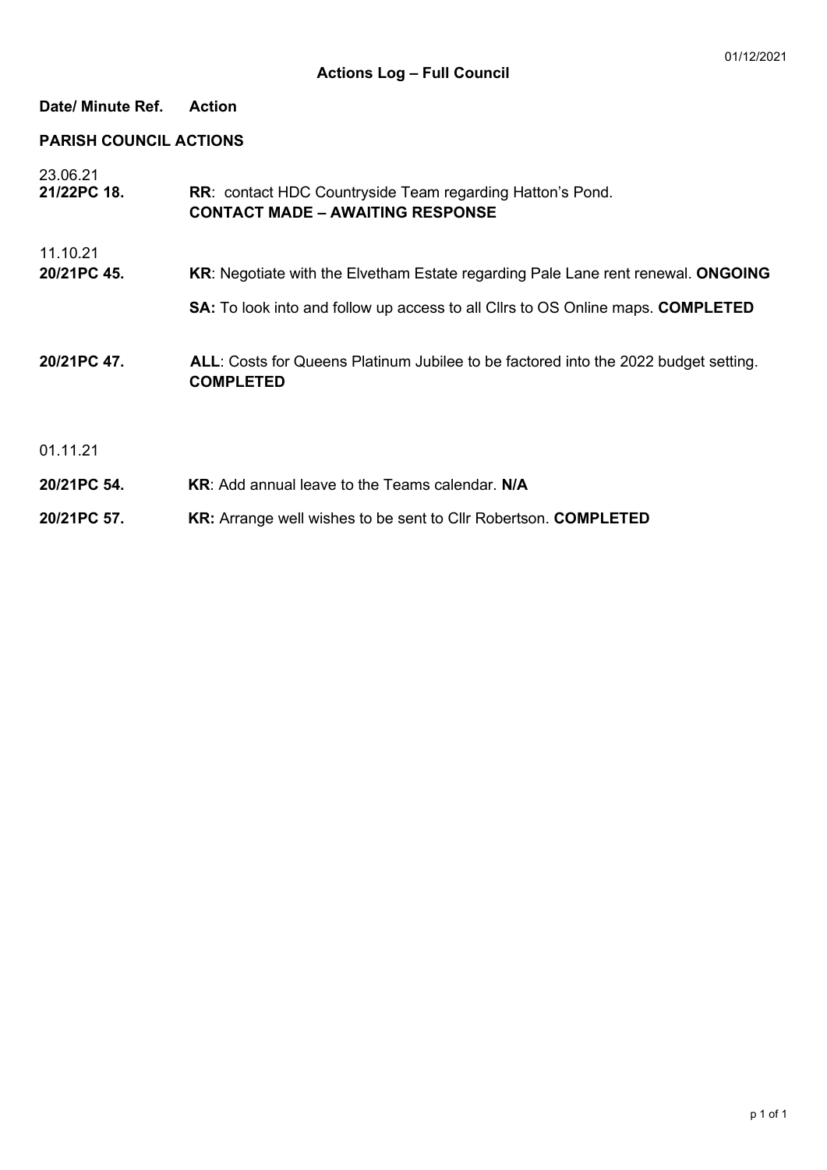# **Date/ Minute Ref. Action**

# **PARISH COUNCIL ACTIONS**

| 23.06.21    |                                                                                                         |
|-------------|---------------------------------------------------------------------------------------------------------|
| 21/22PC 18. | <b>RR: contact HDC Countryside Team regarding Hatton's Pond.</b>                                        |
|             | <b>CONTACT MADE - AWAITING RESPONSE</b>                                                                 |
| 11.10.21    |                                                                                                         |
| 20/21PC 45. | <b>KR:</b> Negotiate with the Elvetham Estate regarding Pale Lane rent renewal. ONGOING                 |
|             | <b>SA:</b> To look into and follow up access to all Cllrs to OS Online maps. <b>COMPLETED</b>           |
| 20/21PC 47. | ALL: Costs for Queens Platinum Jubilee to be factored into the 2022 budget setting.<br><b>COMPLETED</b> |
| 01.11.21    |                                                                                                         |
| 20/21PC 54. | <b>KR:</b> Add annual leave to the Teams calendar. N/A                                                  |
| 20/21PC 57. | <b>KR:</b> Arrange well wishes to be sent to Cllr Robertson. <b>COMPLETED</b>                           |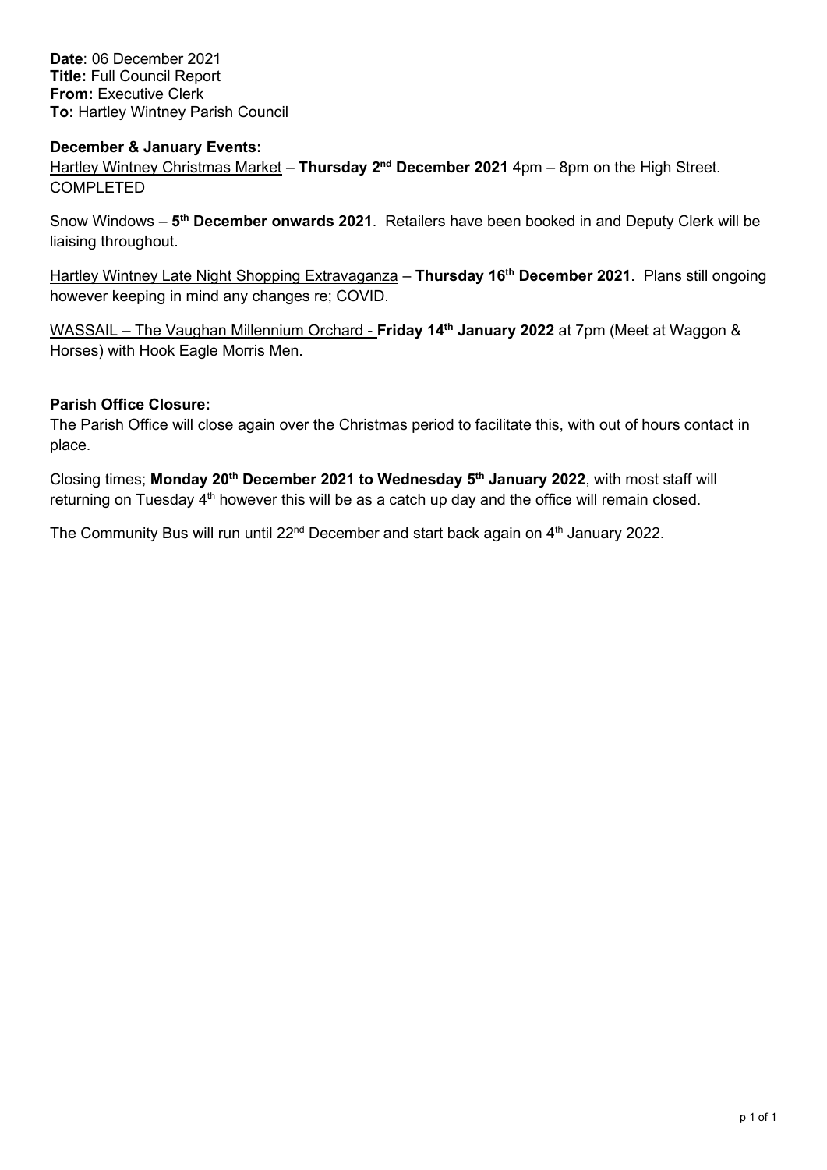**Date**: 06 December 2021 **Title:** Full Council Report **From:** Executive Clerk **To:** Hartley Wintney Parish Council

# **December & January Events:**

Hartley Wintney Christmas Market – **Thursday 2nd December 2021** 4pm – 8pm on the High Street. COMPLETED

Snow Windows – **5th December onwards 2021**. Retailers have been booked in and Deputy Clerk will be liaising throughout.

Hartley Wintney Late Night Shopping Extravaganza – **Thursday 16th December 2021**. Plans still ongoing however keeping in mind any changes re; COVID.

WASSAIL – The Vaughan Millennium Orchard - **Friday 14th January 2022** at 7pm (Meet at Waggon & Horses) with Hook Eagle Morris Men.

# **Parish Office Closure:**

The Parish Office will close again over the Christmas period to facilitate this, with out of hours contact in place.

Closing times; **Monday 20th December 2021 to Wednesday 5th January 2022**, with most staff will returning on Tuesday 4<sup>th</sup> however this will be as a catch up day and the office will remain closed.

The Community Bus will run until 22<sup>nd</sup> December and start back again on 4<sup>th</sup> January 2022.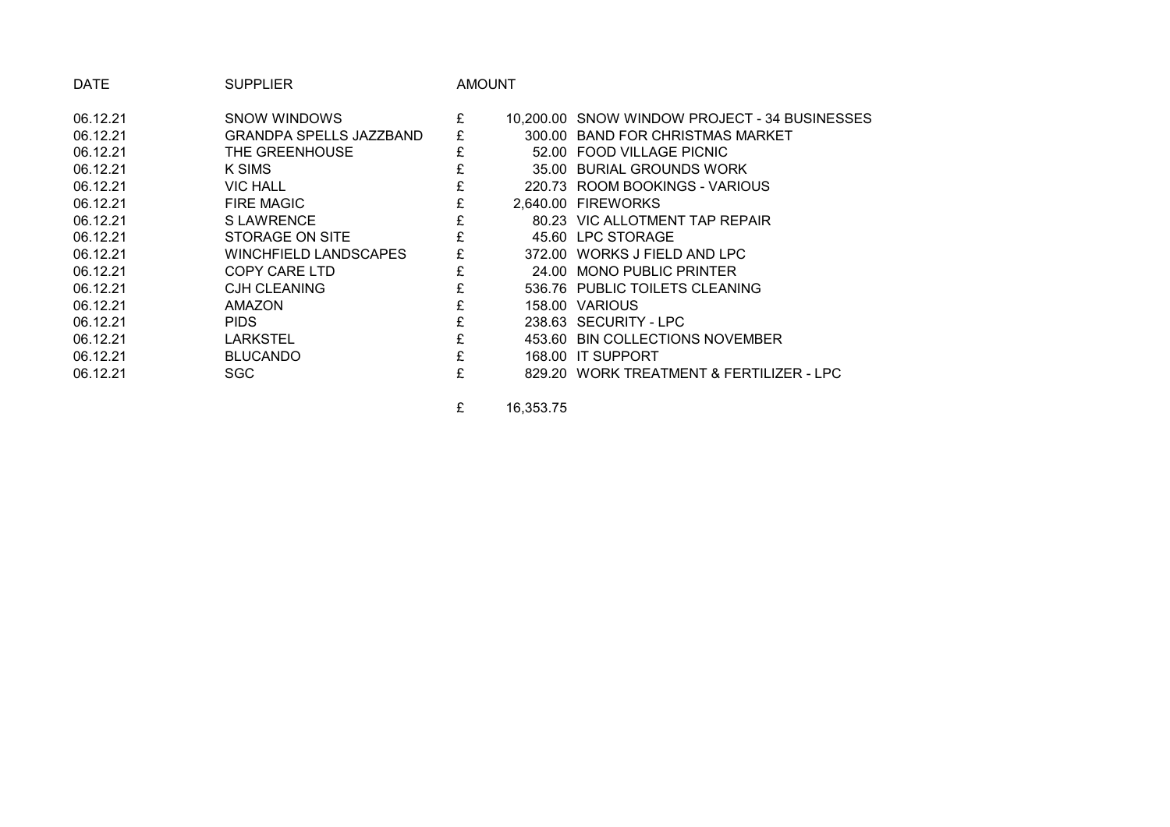| <b>DATE</b> | <b>SUPPLIER</b>                |   | AMOUNT |                                               |
|-------------|--------------------------------|---|--------|-----------------------------------------------|
| 06.12.21    | SNOW WINDOWS                   | £ |        | 10,200.00 SNOW WINDOW PROJECT - 34 BUSINESSES |
| 06.12.21    | <b>GRANDPA SPELLS JAZZBAND</b> | £ |        | 300.00 BAND FOR CHRISTMAS MARKET              |
| 06.12.21    | THE GREENHOUSE                 | £ |        | 52.00 FOOD VILLAGE PICNIC                     |
| 06.12.21    | K SIMS                         | £ |        | 35.00 BURIAL GROUNDS WORK                     |
| 06.12.21    | <b>VIC HALL</b>                | £ |        | 220.73 ROOM BOOKINGS - VARIOUS                |
| 06.12.21    | <b>FIRE MAGIC</b>              | £ |        | 2.640.00 FIREWORKS                            |
| 06.12.21    | S LAWRENCE                     |   |        | 80.23 VIC ALLOTMENT TAP REPAIR                |
| 06.12.21    | STORAGE ON SITE                |   |        | 45.60 LPC STORAGE                             |
| 06.12.21    | WINCHFIELD LANDSCAPES          | £ |        | 372.00 WORKS J FIELD AND LPC                  |
| 06.12.21    | COPY CARE LTD                  | £ |        | 24.00 MONO PUBLIC PRINTER                     |
| 06.12.21    | <b>CJH CLEANING</b>            | £ |        | 536.76 PUBLIC TOILETS CLEANING                |
| 06.12.21    | <b>AMAZON</b>                  | £ |        | 158.00 VARIOUS                                |
| 06.12.21    | <b>PIDS</b>                    |   |        | 238.63 SECURITY - LPC                         |
| 06.12.21    | <b>LARKSTEL</b>                | £ |        | 453.60 BIN COLLECTIONS NOVEMBER               |
| 06.12.21    | <b>BLUCANDO</b>                | £ |        | 168.00 IT SUPPORT                             |
| 06.12.21    | SGC                            | £ |        | 829.20 WORK TREATMENT & FERTILIZER - LPC      |
|             |                                |   |        |                                               |

£ 16,353.75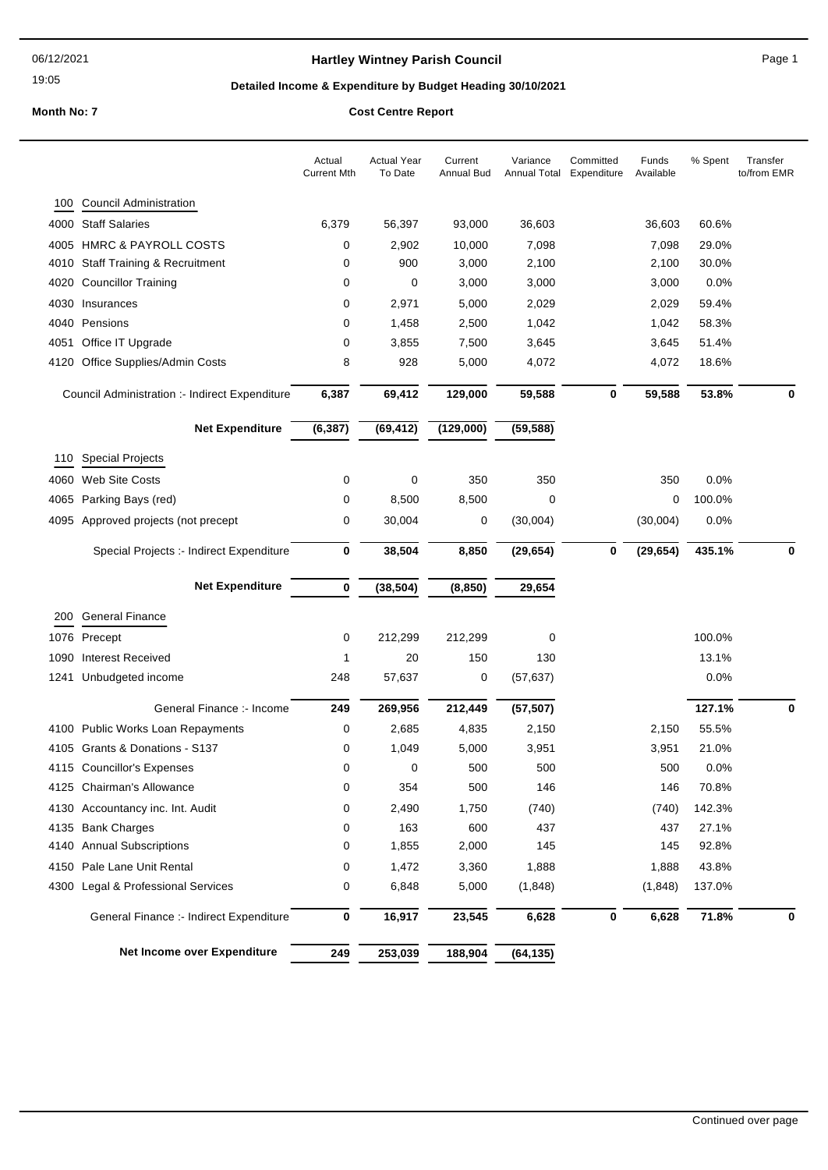19:05

## **Hartley Wintney Parish Council Example 2 and Secure 2 and Secure 2 and Page 1**

## **Detailed Income & Expenditure by Budget Heading 30/10/2021**

**Month No: 7 Cost Centre Report**

|      |                                                | Actual<br><b>Current Mth</b> | <b>Actual Year</b><br>To Date | Current<br>Annual Bud | Variance<br>Annual Total | Committed<br>Expenditure | Funds<br>Available | % Spent | Transfer<br>to/from EMR |
|------|------------------------------------------------|------------------------------|-------------------------------|-----------------------|--------------------------|--------------------------|--------------------|---------|-------------------------|
| 100  | <b>Council Administration</b>                  |                              |                               |                       |                          |                          |                    |         |                         |
|      | 4000 Staff Salaries                            | 6,379                        | 56,397                        | 93,000                | 36,603                   |                          | 36,603             | 60.6%   |                         |
| 4005 | <b>HMRC &amp; PAYROLL COSTS</b>                | 0                            | 2,902                         | 10,000                | 7,098                    |                          | 7,098              | 29.0%   |                         |
| 4010 | <b>Staff Training &amp; Recruitment</b>        | 0                            | 900                           | 3,000                 | 2,100                    |                          | 2,100              | 30.0%   |                         |
| 4020 | <b>Councillor Training</b>                     | 0                            | 0                             | 3,000                 | 3,000                    |                          | 3,000              | 0.0%    |                         |
| 4030 | Insurances                                     | 0                            | 2,971                         | 5,000                 | 2,029                    |                          | 2,029              | 59.4%   |                         |
|      | 4040 Pensions                                  | 0                            | 1,458                         | 2,500                 | 1,042                    |                          | 1,042              | 58.3%   |                         |
| 4051 | Office IT Upgrade                              | 0                            | 3,855                         | 7,500                 | 3,645                    |                          | 3,645              | 51.4%   |                         |
|      | 4120 Office Supplies/Admin Costs               | 8                            | 928                           | 5,000                 | 4,072                    |                          | 4,072              | 18.6%   |                         |
|      | Council Administration :- Indirect Expenditure | 6,387                        | 69,412                        | 129,000               | 59,588                   | $\mathbf 0$              | 59,588             | 53.8%   | 0                       |
|      | <b>Net Expenditure</b>                         | (6, 387)                     | (69, 412)                     | (129,000)             | (59, 588)                |                          |                    |         |                         |
|      | 110 Special Projects                           |                              |                               |                       |                          |                          |                    |         |                         |
|      | 4060 Web Site Costs                            | 0                            | 0                             | 350                   | 350                      |                          | 350                | 0.0%    |                         |
| 4065 | Parking Bays (red)                             | 0                            | 8,500                         | 8,500                 | $\mathbf 0$              |                          | 0                  | 100.0%  |                         |
|      | 4095 Approved projects (not precept            | 0                            | 30,004                        | 0                     | (30,004)                 |                          | (30,004)           | 0.0%    |                         |
|      | Special Projects :- Indirect Expenditure       | 0                            | 38,504                        | 8,850                 | (29, 654)                | 0                        | (29, 654)          | 435.1%  | 0                       |
|      | <b>Net Expenditure</b>                         | 0                            | (38, 504)                     | (8, 850)              | 29,654                   |                          |                    |         |                         |
|      | 200 General Finance                            |                              |                               |                       |                          |                          |                    |         |                         |
|      | 1076 Precept                                   | 0                            | 212,299                       | 212,299               | 0                        |                          |                    | 100.0%  |                         |
| 1090 | <b>Interest Received</b>                       | 1                            | 20                            | 150                   | 130                      |                          |                    | 13.1%   |                         |
| 1241 | Unbudgeted income                              | 248                          | 57,637                        | 0                     | (57, 637)                |                          |                    | 0.0%    |                         |
|      | General Finance :- Income                      | 249                          | 269,956                       | 212,449               | (57, 507)                |                          |                    | 127.1%  | 0                       |
|      | 4100 Public Works Loan Repayments              | 0                            | 2,685                         | 4,835                 | 2,150                    |                          | 2,150              | 55.5%   |                         |
|      | 4105 Grants & Donations - S137                 | 0                            | 1,049                         | 5,000                 | 3,951                    |                          | 3,951              | 21.0%   |                         |
|      | 4115 Councillor's Expenses                     | 0                            | 0                             | 500                   | 500                      |                          | 500                | 0.0%    |                         |
|      | 4125 Chairman's Allowance                      | 0                            | 354                           | 500                   | 146                      |                          | 146                | 70.8%   |                         |
|      | 4130 Accountancy inc. Int. Audit               | 0                            | 2,490                         | 1,750                 | (740)                    |                          | (740)              | 142.3%  |                         |
|      | 4135 Bank Charges                              | 0                            | 163                           | 600                   | 437                      |                          | 437                | 27.1%   |                         |
|      | 4140 Annual Subscriptions                      | 0                            | 1,855                         | 2,000                 | 145                      |                          | 145                | 92.8%   |                         |
|      | 4150 Pale Lane Unit Rental                     | 0                            | 1,472                         | 3,360                 | 1,888                    |                          | 1,888              | 43.8%   |                         |
| 4300 | Legal & Professional Services                  | 0                            | 6,848                         | 5,000                 | (1,848)                  |                          | (1,848)            | 137.0%  |                         |
|      | General Finance :- Indirect Expenditure        | 0                            | 16,917                        | 23,545                | 6,628                    | 0                        | 6,628              | 71.8%   | 0                       |
|      | Net Income over Expenditure                    | 249                          | 253,039                       | 188,904               | (64, 135)                |                          |                    |         |                         |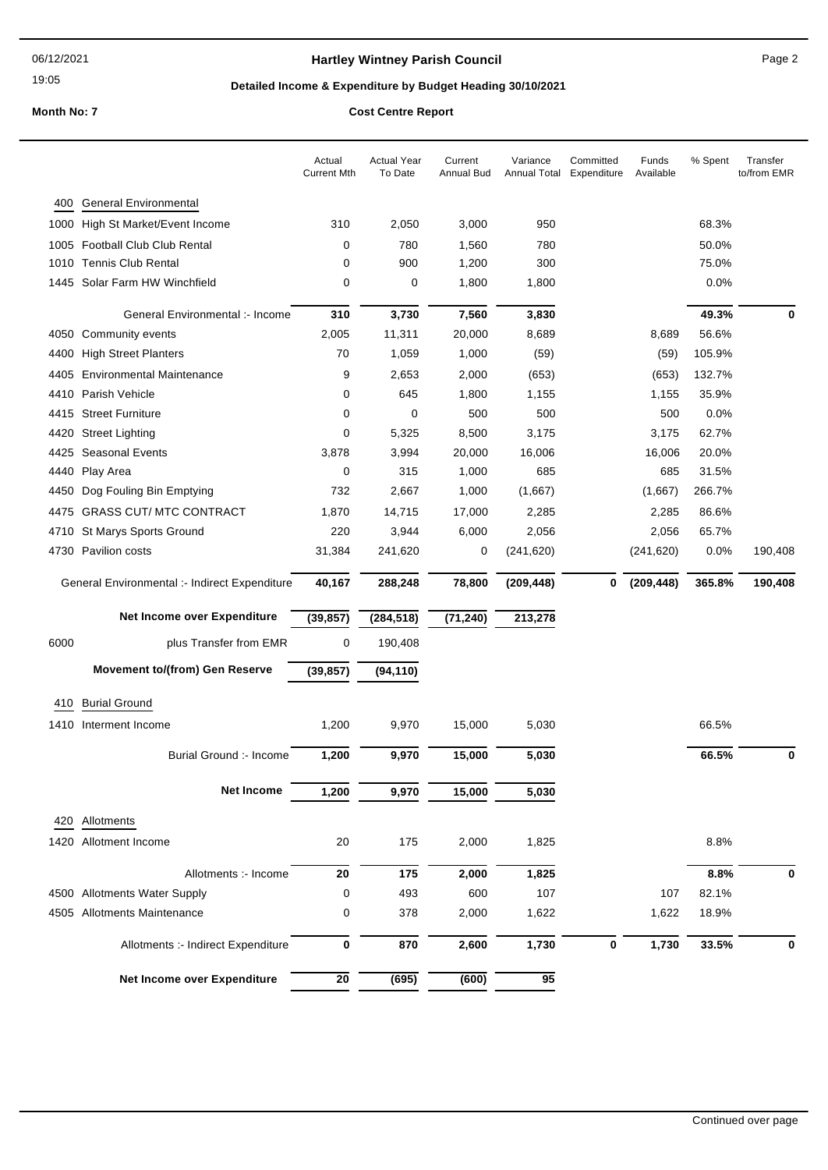19:05

## **Hartley Wintney Parish Council** Manual Page 2

## **Detailed Income & Expenditure by Budget Heading 30/10/2021**

**Month No: 7 Cost Centre Report**

|      |                                               | Actual<br><b>Current Mth</b> | <b>Actual Year</b><br>To Date | Current<br><b>Annual Bud</b> | Variance<br>Annual Total | Committed<br>Expenditure | Funds<br>Available | % Spent | Transfer<br>to/from EMR |
|------|-----------------------------------------------|------------------------------|-------------------------------|------------------------------|--------------------------|--------------------------|--------------------|---------|-------------------------|
| 400  | <b>General Environmental</b>                  |                              |                               |                              |                          |                          |                    |         |                         |
|      | 1000 High St Market/Event Income              | 310                          | 2,050                         | 3,000                        | 950                      |                          |                    | 68.3%   |                         |
|      | 1005 Football Club Club Rental                | 0                            | 780                           | 1,560                        | 780                      |                          |                    | 50.0%   |                         |
|      | 1010 Tennis Club Rental                       | 0                            | 900                           | 1,200                        | 300                      |                          |                    | 75.0%   |                         |
|      | 1445 Solar Farm HW Winchfield                 | 0                            | 0                             | 1,800                        | 1,800                    |                          |                    | 0.0%    |                         |
|      | General Environmental :- Income               | 310                          | 3,730                         | 7,560                        | 3,830                    |                          |                    | 49.3%   | 0                       |
|      | 4050 Community events                         | 2,005                        | 11,311                        | 20,000                       | 8,689                    |                          | 8,689              | 56.6%   |                         |
| 4400 | <b>High Street Planters</b>                   | 70                           | 1,059                         | 1,000                        | (59)                     |                          | (59)               | 105.9%  |                         |
| 4405 | <b>Environmental Maintenance</b>              | 9                            | 2,653                         | 2,000                        | (653)                    |                          | (653)              | 132.7%  |                         |
| 4410 | Parish Vehicle                                | 0                            | 645                           | 1,800                        | 1,155                    |                          | 1,155              | 35.9%   |                         |
|      | 4415 Street Furniture                         | 0                            | 0                             | 500                          | 500                      |                          | 500                | 0.0%    |                         |
| 4420 | <b>Street Lighting</b>                        | 0                            | 5,325                         | 8,500                        | 3,175                    |                          | 3,175              | 62.7%   |                         |
|      | 4425 Seasonal Events                          | 3,878                        | 3,994                         | 20,000                       | 16,006                   |                          | 16,006             | 20.0%   |                         |
|      | 4440 Play Area                                | 0                            | 315                           | 1,000                        | 685                      |                          | 685                | 31.5%   |                         |
| 4450 | Dog Fouling Bin Emptying                      | 732                          | 2,667                         | 1,000                        | (1,667)                  |                          | (1,667)            | 266.7%  |                         |
|      | 4475 GRASS CUT/ MTC CONTRACT                  | 1,870                        | 14,715                        | 17,000                       | 2,285                    |                          | 2,285              | 86.6%   |                         |
|      | 4710 St Marys Sports Ground                   | 220                          | 3,944                         | 6,000                        | 2,056                    |                          | 2,056              | 65.7%   |                         |
|      | 4730 Pavilion costs                           | 31,384                       | 241,620                       | 0                            | (241, 620)               |                          | (241, 620)         | 0.0%    | 190,408                 |
|      | General Environmental :- Indirect Expenditure | 40,167                       | 288,248                       | 78,800                       | (209, 448)               | 0                        | (209, 448)         | 365.8%  | 190,408                 |
|      | Net Income over Expenditure                   | (39, 857)                    | (284, 518)                    | (71, 240)                    | 213,278                  |                          |                    |         |                         |
| 6000 | plus Transfer from EMR                        | 0                            | 190,408                       |                              |                          |                          |                    |         |                         |
|      | <b>Movement to/(from) Gen Reserve</b>         | (39, 857)                    | (94, 110)                     |                              |                          |                          |                    |         |                         |
| 410  | <b>Burial Ground</b>                          |                              |                               |                              |                          |                          |                    |         |                         |
|      | 1410 Interment Income                         | 1,200                        | 9,970                         | 15,000                       | 5,030                    |                          |                    | 66.5%   |                         |
|      | Burial Ground :- Income                       | 1,200                        | 9,970                         | 15,000                       | 5,030                    |                          |                    | 66.5%   | 0                       |
|      |                                               |                              |                               |                              |                          |                          |                    |         |                         |
|      | <b>Net Income</b>                             | 1,200                        | 9,970                         | 15,000                       | 5,030                    |                          |                    |         |                         |
| 420  | Allotments                                    |                              |                               |                              |                          |                          |                    |         |                         |
|      | 1420 Allotment Income                         | $20\,$                       | 175                           | 2,000                        | 1,825                    |                          |                    | 8.8%    |                         |
|      |                                               |                              |                               |                              |                          |                          |                    |         |                         |
|      | Allotments :- Income                          | 20                           | 175                           | 2,000                        | 1,825                    |                          |                    | 8.8%    | 0                       |
|      | 4500 Allotments Water Supply                  | 0                            | 493                           | 600                          | 107                      |                          | 107                | 82.1%   |                         |
|      | 4505 Allotments Maintenance                   | 0                            | 378                           | 2,000                        | 1,622                    |                          | 1,622              | 18.9%   |                         |
|      | Allotments :- Indirect Expenditure            | 0                            | 870                           | 2,600                        | 1,730                    | $\pmb{0}$                | 1,730              | 33.5%   | 0                       |
|      | Net Income over Expenditure                   | ${\bf 20}$                   | (695)                         | (600)                        | 95                       |                          |                    |         |                         |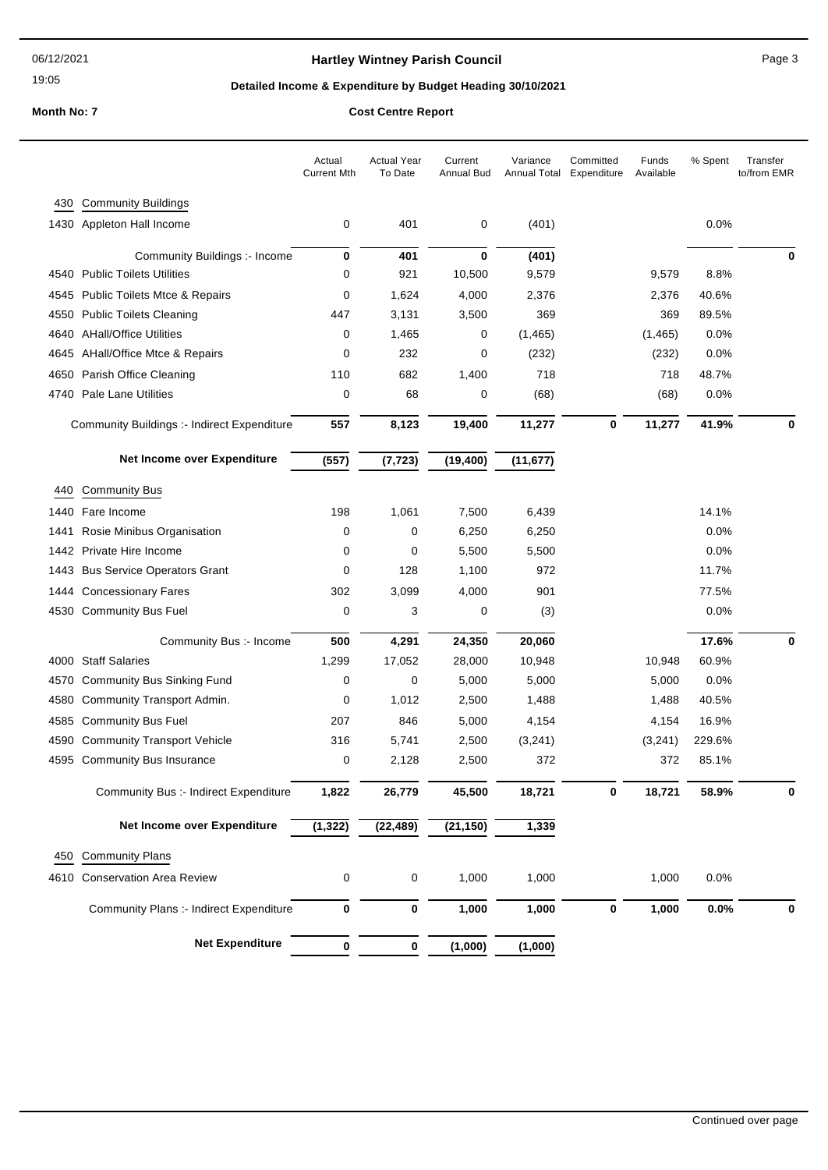19:05

## Hartley Wintney Parish Council **All and Struck and Page 3** Page 3

## **Detailed Income & Expenditure by Budget Heading 30/10/2021**

#### **Month No: 7 Cost Centre Report**

|      |                                             | Actual<br><b>Current Mth</b> | <b>Actual Year</b><br>To Date | Current<br>Annual Bud | Variance  | Committed<br>Annual Total Expenditure | Funds<br>Available | % Spent | Transfer<br>to/from EMR |
|------|---------------------------------------------|------------------------------|-------------------------------|-----------------------|-----------|---------------------------------------|--------------------|---------|-------------------------|
|      | 430 Community Buildings                     |                              |                               |                       |           |                                       |                    |         |                         |
|      | 1430 Appleton Hall Income                   | 0                            | 401                           | 0                     | (401)     |                                       |                    | 0.0%    |                         |
|      | Community Buildings :- Income               | 0                            | 401                           | $\mathbf 0$           | (401)     |                                       |                    |         | $\bf{0}$                |
|      | 4540 Public Toilets Utilities               | 0                            | 921                           | 10,500                | 9,579     |                                       | 9,579              | 8.8%    |                         |
| 4545 | <b>Public Toilets Mtce &amp; Repairs</b>    | 0                            | 1,624                         | 4,000                 | 2,376     |                                       | 2,376              | 40.6%   |                         |
|      | 4550 Public Toilets Cleaning                | 447                          | 3,131                         | 3,500                 | 369       |                                       | 369                | 89.5%   |                         |
|      | 4640 AHall/Office Utilities                 | 0                            | 1,465                         | 0                     | (1, 465)  |                                       | (1,465)            | 0.0%    |                         |
|      | 4645 AHall/Office Mtce & Repairs            | 0                            | 232                           | 0                     | (232)     |                                       | (232)              | 0.0%    |                         |
|      | 4650 Parish Office Cleaning                 | 110                          | 682                           | 1,400                 | 718       |                                       | 718                | 48.7%   |                         |
|      | 4740 Pale Lane Utilities                    | 0                            | 68                            | 0                     | (68)      |                                       | (68)               | 0.0%    |                         |
|      | Community Buildings :- Indirect Expenditure | 557                          | 8,123                         | 19,400                | 11,277    | 0                                     | 11,277             | 41.9%   | 0                       |
|      | Net Income over Expenditure                 | (557)                        | (7, 723)                      | (19, 400)             | (11, 677) |                                       |                    |         |                         |
| 440  | <b>Community Bus</b>                        |                              |                               |                       |           |                                       |                    |         |                         |
|      | 1440 Fare Income                            | 198                          | 1,061                         | 7,500                 | 6,439     |                                       |                    | 14.1%   |                         |
| 1441 | Rosie Minibus Organisation                  | 0                            | 0                             | 6,250                 | 6,250     |                                       |                    | 0.0%    |                         |
|      | 1442 Private Hire Income                    | 0                            | 0                             | 5,500                 | 5,500     |                                       |                    | 0.0%    |                         |
| 1443 | <b>Bus Service Operators Grant</b>          | 0                            | 128                           | 1,100                 | 972       |                                       |                    | 11.7%   |                         |
|      | 1444 Concessionary Fares                    | 302                          | 3,099                         | 4,000                 | 901       |                                       |                    | 77.5%   |                         |
|      | 4530 Community Bus Fuel                     | 0                            | 3                             | 0                     | (3)       |                                       |                    | 0.0%    |                         |
|      | Community Bus :- Income                     | 500                          | 4,291                         | 24,350                | 20,060    |                                       |                    | 17.6%   | 0                       |
|      | 4000 Staff Salaries                         | 1,299                        | 17,052                        | 28,000                | 10,948    |                                       | 10,948             | 60.9%   |                         |
| 4570 | <b>Community Bus Sinking Fund</b>           | 0                            | 0                             | 5,000                 | 5,000     |                                       | 5,000              | 0.0%    |                         |
|      | 4580 Community Transport Admin.             | 0                            | 1,012                         | 2,500                 | 1,488     |                                       | 1,488              | 40.5%   |                         |
| 4585 | <b>Community Bus Fuel</b>                   | 207                          | 846                           | 5,000                 | 4,154     |                                       | 4,154              | 16.9%   |                         |
|      | 4590 Community Transport Vehicle            | 316                          | 5,741                         | 2,500                 | (3,241)   |                                       | (3,241)            | 229.6%  |                         |
|      | 4595 Community Bus Insurance                | 0                            | 2,128                         | 2,500                 | 372       |                                       | 372                | 85.1%   |                         |
|      | Community Bus :- Indirect Expenditure       | 1,822                        | 26,779                        | 45,500                | 18,721    | 0                                     | 18,721             | 58.9%   | 0                       |
|      | Net Income over Expenditure                 | (1, 322)                     | (22, 489)                     | (21, 150)             | 1,339     |                                       |                    |         |                         |
| 450  | <b>Community Plans</b>                      |                              |                               |                       |           |                                       |                    |         |                         |
|      | 4610 Conservation Area Review               | 0                            | 0                             | 1,000                 | 1,000     |                                       | 1,000              | 0.0%    |                         |
|      | Community Plans :- Indirect Expenditure     | 0                            | 0                             | 1,000                 | 1,000     | 0                                     | 1,000              | 0.0%    | 0                       |
|      | <b>Net Expenditure</b>                      |                              |                               |                       |           |                                       |                    |         |                         |
|      |                                             | 0                            | 0                             | (1,000)               | (1,000)   |                                       |                    |         |                         |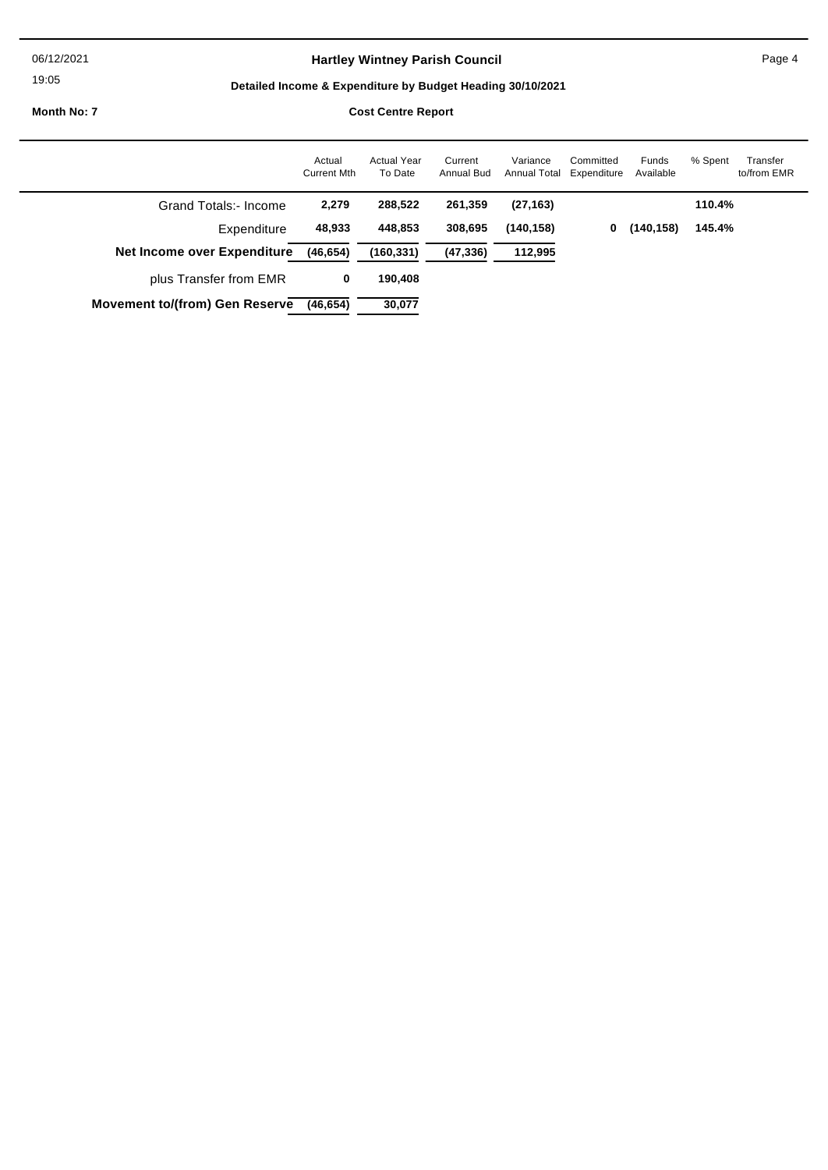06/12/2021

19:05

 $\overline{a}$ 

## Hartley Wintney Parish Council **Page 4** Page 4

## **Detailed Income & Expenditure by Budget Heading 30/10/2021**

**Month No: 7 Cost Centre R** 

| Cost Centre Report |  |
|--------------------|--|
|                    |  |

|                                       | Actual<br><b>Current Mth</b> | Actual Year<br>To Date | Current<br>Annual Bud | Variance<br>Annual Total Expenditure | Committed | Funds<br>Available | % Spent | Transfer<br>to/from EMR |
|---------------------------------------|------------------------------|------------------------|-----------------------|--------------------------------------|-----------|--------------------|---------|-------------------------|
| Grand Totals:- Income                 | 2,279                        | 288,522                | 261,359               | (27, 163)                            |           |                    | 110.4%  |                         |
| Expenditure                           | 48,933                       | 448,853                | 308,695               | (140, 158)                           | 0         | (140, 158)         | 145.4%  |                         |
| Net Income over Expenditure           | (46, 654)                    | (160, 331)             | (47, 336)             | 112,995                              |           |                    |         |                         |
| plus Transfer from EMR                | 0                            | 190,408                |                       |                                      |           |                    |         |                         |
| <b>Movement to/(from) Gen Reserve</b> | (46, 654)                    | 30,077                 |                       |                                      |           |                    |         |                         |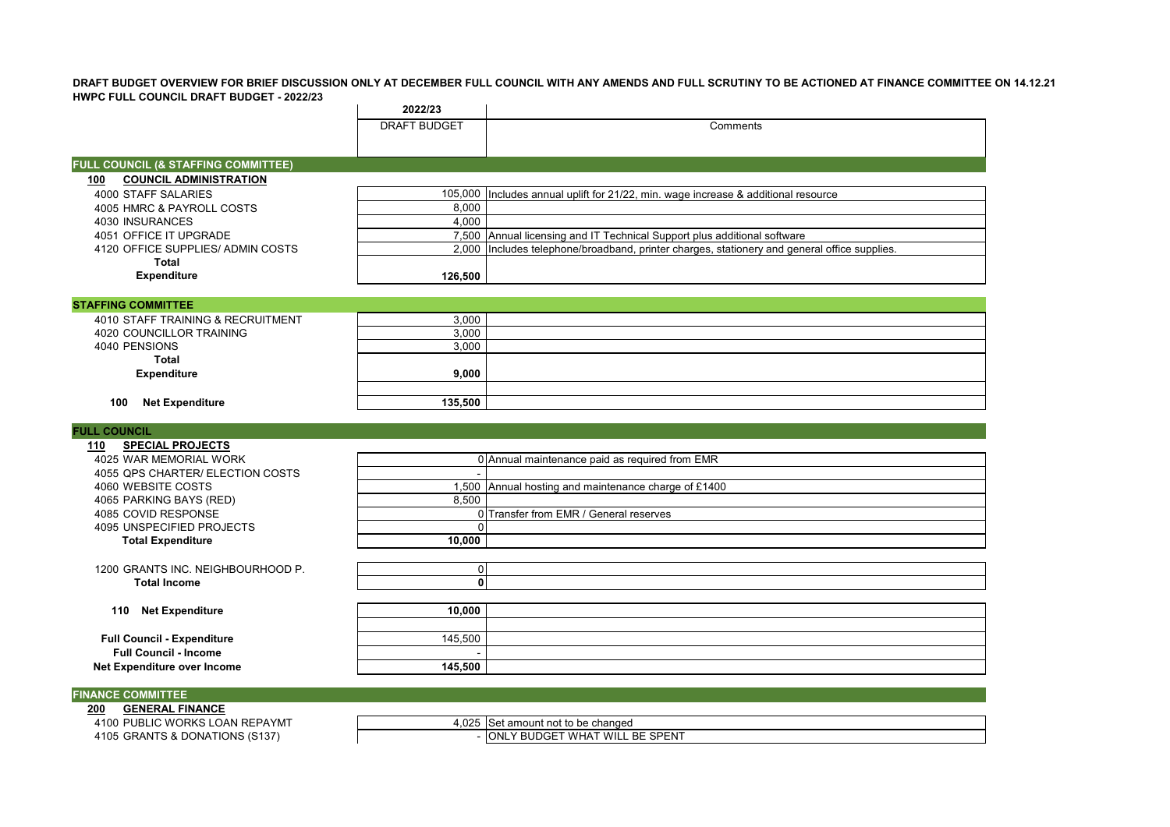**DRAFT BUDGET OVERVIEW FOR BRIEF DISCUSSION ONLY AT DECEMBER FULL COUNCIL WITH ANY AMENDS AND FULL SCRUTINY TO BE ACTIONED AT FINANCE COMMITTEE ON 14.12.21 HWPC FULL COUNCIL DRAFT BUDGET - 2022/23**

|                                                | 2022/23             |                                                                                              |
|------------------------------------------------|---------------------|----------------------------------------------------------------------------------------------|
|                                                | <b>DRAFT BUDGET</b> | Comments                                                                                     |
|                                                |                     |                                                                                              |
|                                                |                     |                                                                                              |
| <b>FULL COUNCIL (&amp; STAFFING COMMITTEE)</b> |                     |                                                                                              |
| <b>COUNCIL ADMINISTRATION</b><br>100           |                     |                                                                                              |
| 4000 STAFF SALARIES                            |                     | 105,000 Includes annual uplift for 21/22, min. wage increase & additional resource           |
| 4005 HMRC & PAYROLL COSTS                      | 8.000               |                                                                                              |
| 4030 INSURANCES                                | 4,000               |                                                                                              |
| 4051 OFFICE IT UPGRADE                         |                     | 7,500 Annual licensing and IT Technical Support plus additional software                     |
| 4120 OFFICE SUPPLIES/ ADMIN COSTS              |                     | 2,000 Includes telephone/broadband, printer charges, stationery and general office supplies. |
| Total                                          |                     |                                                                                              |
| <b>Expenditure</b>                             | 126,500             |                                                                                              |
|                                                |                     |                                                                                              |

#### **STAFFING COMMITTEE** 4010 STAFF TRAINING & RECRUITMENT<br>4020 COUNCILLOR TRAINING 4020 COUNCILLOR TRAINING 3,000 4020 COUNCILLOR TRAINING<br>4040 PENSIONS 3,000 4040 PENSIONS **Total Expenditure 9,000 100 Net Expenditure 135,500**

#### **FULL COUNCIL**

| 110<br><b>SPECIAL PROJECTS</b>    |         |                                                      |
|-----------------------------------|---------|------------------------------------------------------|
| 4025 WAR MEMORIAL WORK            |         | 0 Annual maintenance paid as required from EMR       |
| 4055 QPS CHARTER/ ELECTION COSTS  |         |                                                      |
| 4060 WEBSITE COSTS                |         | 1,500 Annual hosting and maintenance charge of £1400 |
| 4065 PARKING BAYS (RED)           | 8,500   |                                                      |
| 4085 COVID RESPONSE               |         | 0 Transfer from EMR / General reserves               |
| 4095 UNSPECIFIED PROJECTS         |         |                                                      |
| <b>Total Expenditure</b>          | 10,000  |                                                      |
|                                   |         |                                                      |
| 1200 GRANTS INC. NEIGHBOURHOOD P. |         |                                                      |
| <b>Total Income</b>               |         |                                                      |
|                                   |         |                                                      |
| <b>Net Expenditure</b><br>110     | 10,000  |                                                      |
|                                   |         |                                                      |
| <b>Full Council - Expenditure</b> | 145,500 |                                                      |
| <b>Full Council - Income</b>      |         |                                                      |
| Net Expenditure over Income       | 145,500 |                                                      |

#### **FINANCE COMMITTEE**

**200 GENERAL FINANCE** 4105 GRANTS & DONATIONS (S137)

4,025 Set amount not to be changed<br>- ONLY BUDGET WHAT WILL BE SPENT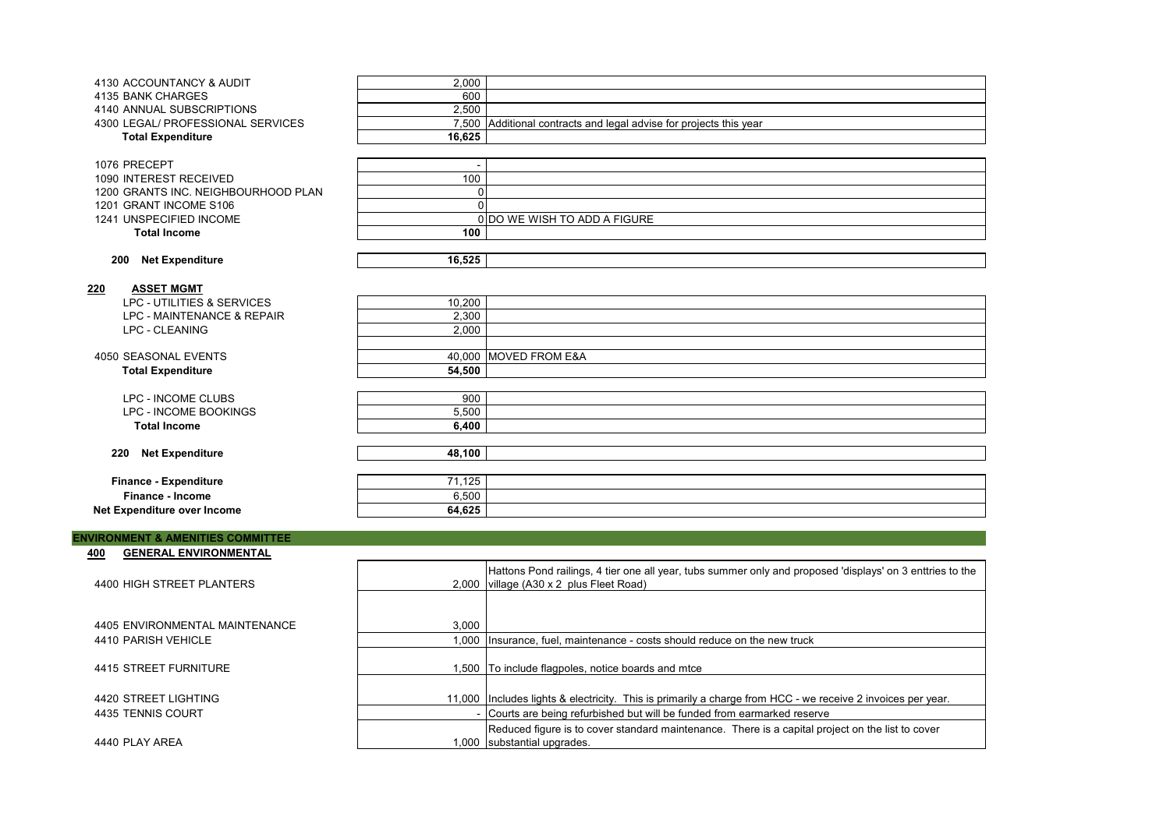| 4130 ACCOUNTANCY & AUDIT            | 2,000                    |                                                                    |
|-------------------------------------|--------------------------|--------------------------------------------------------------------|
| 4135 BANK CHARGES                   | 600                      |                                                                    |
| 4140 ANNUAL SUBSCRIPTIONS           | 2,500                    |                                                                    |
| 4300 LEGAL/ PROFESSIONAL SERVICES   |                          | 7,500 Additional contracts and legal advise for projects this year |
| <b>Total Expenditure</b>            | 16,625                   |                                                                    |
|                                     |                          |                                                                    |
| 1076 PRECEPT                        | $\overline{\phantom{a}}$ |                                                                    |
| 1090 INTEREST RECEIVED              | 100                      |                                                                    |
| 1200 GRANTS INC. NEIGHBOURHOOD PLAN | 0                        |                                                                    |
| 1201 GRANT INCOME S106              | $\Omega$                 |                                                                    |
| 1241 UNSPECIFIED INCOME             |                          | 0 DO WE WISH TO ADD A FIGURE                                       |
| <b>Total Income</b>                 | 100                      |                                                                    |
|                                     |                          |                                                                    |
|                                     |                          |                                                                    |
| <b>Net Expenditure</b><br>200       | 16,525                   |                                                                    |
|                                     |                          |                                                                    |
| <b>ASSET MGMT</b><br>220            |                          |                                                                    |
| LPC - UTILITIES & SERVICES          | 10,200                   |                                                                    |
| LPC - MAINTENANCE & REPAIR          | 2,300                    |                                                                    |
| <b>LPC - CLEANING</b>               | 2.000                    |                                                                    |
|                                     |                          |                                                                    |
| 4050 SEASONAL EVENTS                |                          | 40,000 MOVED FROM E&A                                              |
| <b>Total Expenditure</b>            | 54,500                   |                                                                    |
|                                     |                          |                                                                    |
| LPC - INCOME CLUBS                  | 900                      |                                                                    |
| LPC - INCOME BOOKINGS               | 5,500                    |                                                                    |
| <b>Total Income</b>                 | 6,400                    |                                                                    |
|                                     |                          |                                                                    |
| <b>Net Expenditure</b><br>220       | 48,100                   |                                                                    |
|                                     |                          |                                                                    |
| <b>Finance - Expenditure</b>        | 71,125                   |                                                                    |
| Finance - Income                    | 6,500                    |                                                                    |
|                                     | 64,625                   |                                                                    |
| Net Expenditure over Income         |                          |                                                                    |

#### **ENVIRONMENT & AMENITIES COMMITTEE**

#### **400 GENERAL ENVIRONMENTAL**

| 4400 HIGH STREET PLANTERS      |       | Hattons Pond railings, 4 tier one all year, tubs summer only and proposed 'displays' on 3 enttries to the<br>2,000 village (A30 x 2 plus Fleet Road) |
|--------------------------------|-------|------------------------------------------------------------------------------------------------------------------------------------------------------|
|                                |       |                                                                                                                                                      |
| 4405 ENVIRONMENTAL MAINTENANCE | 3.000 |                                                                                                                                                      |
| 4410 PARISH VEHICLE            |       | 1,000 Insurance, fuel, maintenance - costs should reduce on the new truck                                                                            |
|                                |       |                                                                                                                                                      |
| 4415 STREET FURNITURE          |       | 500 To include flagpoles, notice boards and mtce                                                                                                     |
|                                |       |                                                                                                                                                      |
| 4420 STREET LIGHTING           |       | 11,000   Includes lights & electricity. This is primarily a charge from HCC - we receive 2 invoices per year.                                        |
| 4435 TENNIS COURT              |       | - Courts are being refurbished but will be funded from earmarked reserve                                                                             |
|                                |       | Reduced figure is to cover standard maintenance. There is a capital project on the list to cover                                                     |
| 4440 PLAY AREA                 |       | 1,000 substantial upgrades.                                                                                                                          |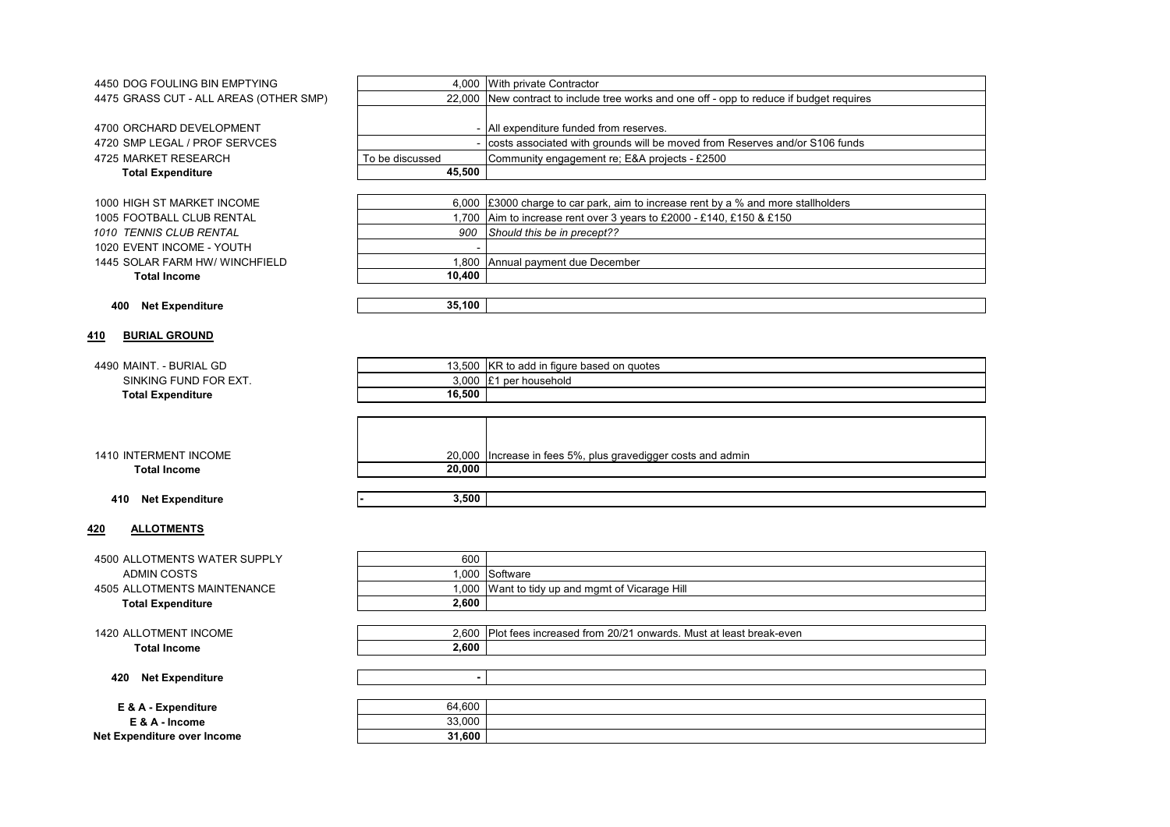4450 DOG FOULING BIN EMPTYING 4.000 With private Contractor

4700 ORCHARD DEVELOPMENT 4720 SMP LEGAL / PROF SERVCES 4725 MARKET RESEARCH **Total Expenditure** 

1000 HIGH ST MARKET INCOME 1005 FOOTBALL CLUB RENTAL **1010 TENNIS CLUB RENTAL** 1020 EVENT INCOME - YOUTH 1445 SOLAR FARM HW/ WINCHFIELD **Total Income** 

4475 GRASS CUT - ALL AREAS (OTHER SMP)

|                 | 4,000 <b>Will private Contractor</b>                                                     |
|-----------------|------------------------------------------------------------------------------------------|
|                 | 22,000 New contract to include tree works and one off - opp to reduce if budget requires |
|                 |                                                                                          |
|                 | - All expenditure funded from reserves.                                                  |
|                 | costs associated with grounds will be moved from Reserves and/or S106 funds              |
| To be discussed | Community engagement re; E&A projects - £2500                                            |
| 45.500          |                                                                                          |
|                 |                                                                                          |

|        | 6,000 E3000 charge to car park, aim to increase rent by a % and more stallholders |
|--------|-----------------------------------------------------------------------------------|
|        | 1,700 Aim to increase rent over 3 years to £2000 - £140, £150 & £150              |
|        | 900 Should this be in precept??                                                   |
|        |                                                                                   |
|        | 1,800 Annual payment due December                                                 |
| 10.400 |                                                                                   |
|        |                                                                                   |

#### **400 Net Expenditure 35,100**

# **410 BURIAL GROUND**

#### 4490 MAINT. - BURIAL GD SINKING FUND FOR EXT. **Total Expenditure**

|          | 13,500 KR to add in figure based on guotes |
|----------|--------------------------------------------|
| 3.000 E1 | per household                              |
| 16.500   |                                            |
|          |                                            |

|        | 20,000 Increase in fees 5%, plus gravedigger costs and admin |
|--------|--------------------------------------------------------------|
| 20,000 |                                                              |
|        |                                                              |
| 2 ENN  |                                                              |

1410 INTERMENT INCOME **Total Income** 

#### **410 Net Expenditure - 3,500**

#### **420 ALLOTMENTS**

4500 ALLOTMENTS WATER SUPPLY ADMIN COSTS 4505 ALLOTMENTS MAINTENANCE **Total Expenditure** 

| 600    |                                                                  |
|--------|------------------------------------------------------------------|
| 1,000  | Software                                                         |
| 1,000  | Want to tidy up and mgmt of Vicarage Hill                        |
| 2,600  |                                                                  |
|        |                                                                  |
| 2,600  | Plot fees increased from 20/21 onwards. Must at least break-even |
| 2,600  |                                                                  |
|        |                                                                  |
|        |                                                                  |
|        |                                                                  |
| 64,600 |                                                                  |
| 33,000 |                                                                  |
| 31,600 |                                                                  |
|        |                                                                  |

1420 ALLOTMENT INCOME

**Total Income** 

#### **420** Net Expenditure

**E & A - Expenditure E & A - Income Net Expenditure over Income**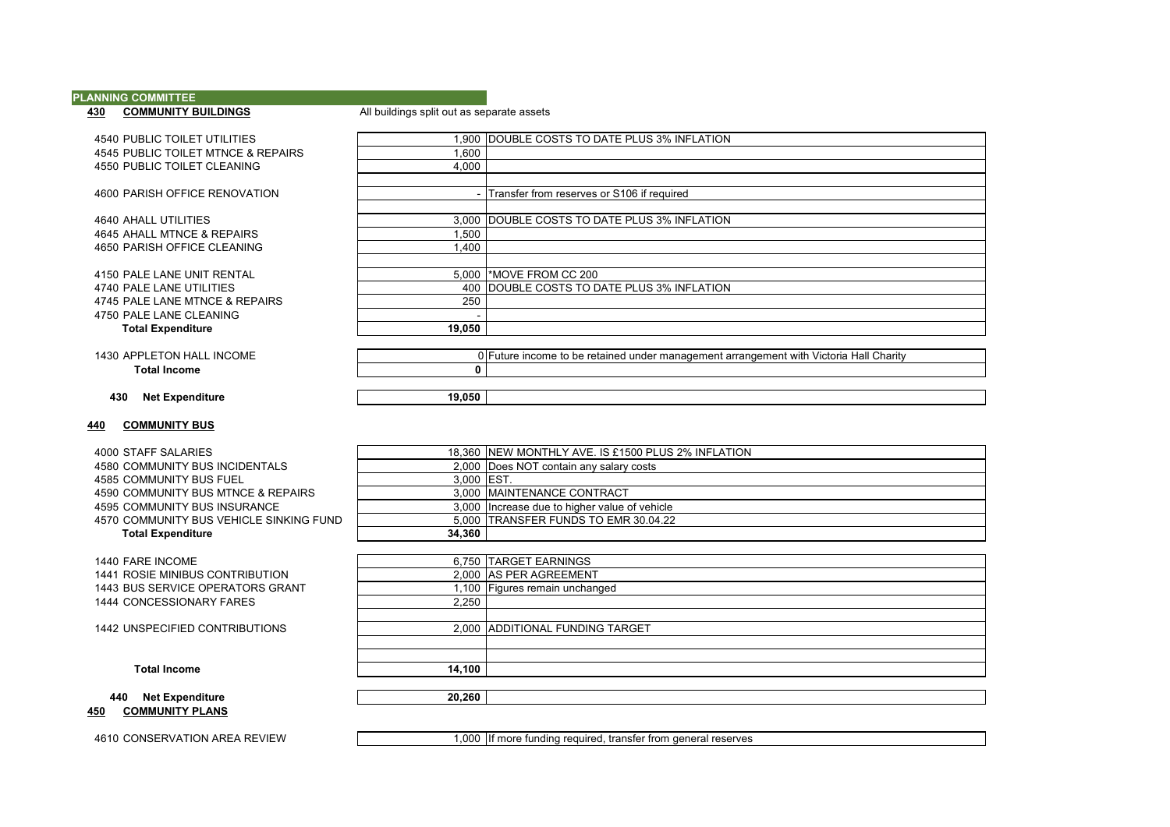# **PLANNING COMMITTEE<br>430 COMMUNITY BUILDINGS**

#### All buildings split out as separate assets

4540 PUBLIC TOILET UTILITIES 1,900 DOUBLE COSTS TO DATE PLUS 3% INFLATION 4545 PUBLIC TOILET MTNCE & REPAIRS<br>4550 PUBLIC TOILET CLEANING<br>4.000 4550 PUBLIC TOILET CLEANING

4600 PARISH OFFICE RENOVATION - Transfer from reserves or S106 if required

4640 AHALL UTILITIES<br>4645 AHALL UTILITIES 3% INFLATION<br>4645 AHALL MTNCE & REPAIRS 4500 4645 AHALL MTNCE & REPAIRS<br>4650 PARISH OFFICE CLEANING 1,400 4650 PARISH OFFICE CLEANING

4150 PALE LANE UNIT RENTAL 5,000 \*MOVE FROM CC 200<br>4740 PALE LANE UTILITIES 400 DOUBLE COSTS TO D 4745 PALE LANE MTNCE & REPAIRS 4750 PALE LANE CLEANING<br>
Total Expenditure 19.050 **Total Expenditure** 

1430 APPLETON HALL INCOME **1430 APPLETON HALL INCOME 1430 1430** APPLETON HALL INCOME **Total Income 0**

**430 Net Expenditure 19,050**

#### **440 COMMUNITY BUS**

4000 STAFF SALARIES<br>4580 COMMUNITY BUS INCIDENTALS 2000 DOES NOT contain any salary costs

- 
- 
- 4585 COMMUNITY BUS FUEL<br>4590 COMMUNITY BUS MTNCF & REPAIRS<br>3,000 MAINTENANCE CONTRACT 4590 COMMUNITY BUS MTNCE & REPAIRS<br>4595 COMMUNITY BUS INSURANCE
- 

4570 COMMUNITY BUS VEHICLE SINKING FUND<br>Total Expenditure 5,000

**Total Expenditure** 

1440 FARE INCOME 1441 ROSIE MINIBUS CONTRIBUTION 1443 BUS SERVICE OPERATORS GRANT 1444 CONCESSIONARY FARES

1442 UNSPECIFIED CONTRIBUTIONS

|        | 6,750 TARGET EARNINGS           |
|--------|---------------------------------|
|        | 2,000 AS PER AGREEMENT          |
|        | 1,100 Figures remain unchanged  |
| 2,250  |                                 |
|        |                                 |
|        | 2,000 ADDITIONAL FUNDING TARGET |
|        |                                 |
|        |                                 |
| 14,100 |                                 |
|        |                                 |

**Total Income** 

**440 Net Expenditure 20,260 450 COMMUNITY PLANS**

4610 CONSERVATION AREA REVIEW 1,000 If more funding required, transfer from general reserves

400 DOUBLE COSTS TO DATE PLUS 3% INFLATION 250

2,000 Does NOT contain any salary costs<br>3,000 EST

3,000 Increase due to higher value of vehicle<br>5,000 ITRANSFER FUNDS TO EMR 30.04.22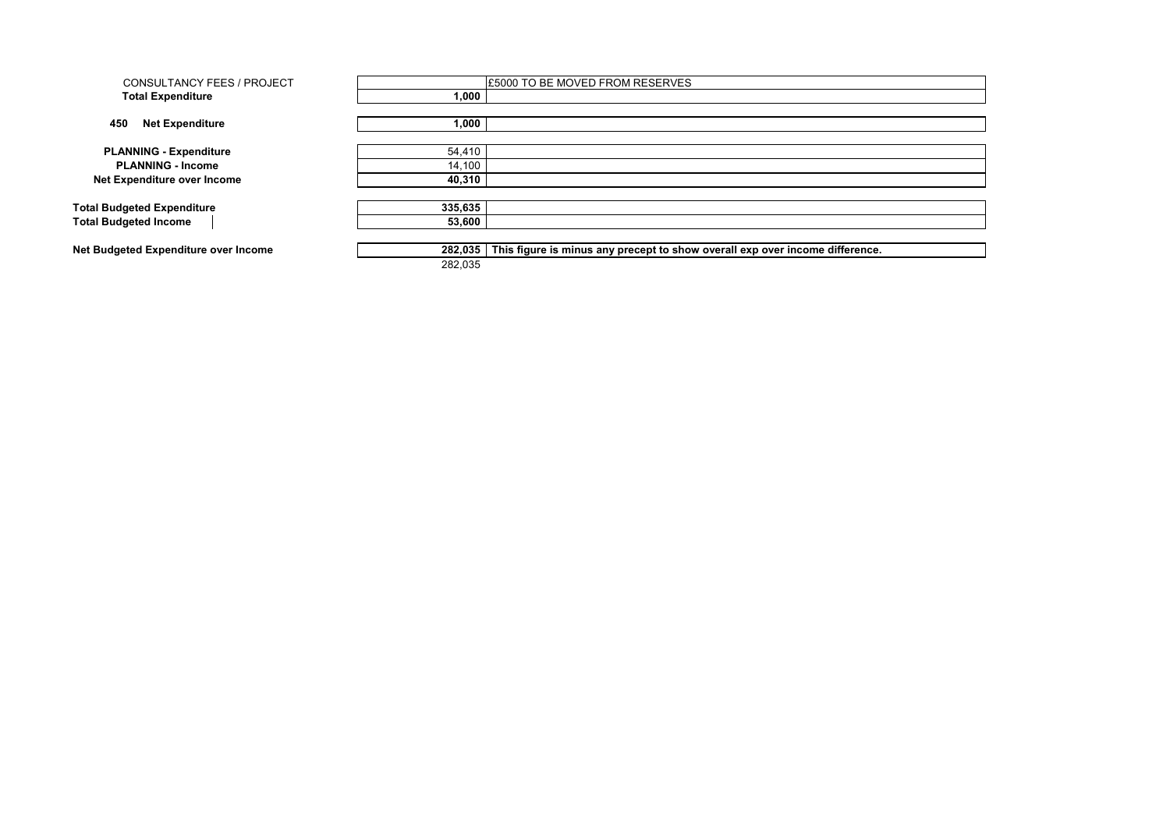| <b>CONSULTANCY FEES / PROJECT</b>    |         | <b>£5000 TO BE MOVED FROM RESERVES</b>                                       |
|--------------------------------------|---------|------------------------------------------------------------------------------|
| <b>Total Expenditure</b>             | 1.000   |                                                                              |
|                                      |         |                                                                              |
| 450<br><b>Net Expenditure</b>        | 1,000   |                                                                              |
|                                      |         |                                                                              |
| <b>PLANNING - Expenditure</b>        | 54,410  |                                                                              |
| <b>PLANNING - Income</b>             | 14,100  |                                                                              |
| Net Expenditure over Income          | 40,310  |                                                                              |
|                                      |         |                                                                              |
| <b>Total Budgeted Expenditure</b>    | 335,635 |                                                                              |
| <b>Total Budgeted Income</b>         | 53,600  |                                                                              |
|                                      |         |                                                                              |
| Net Budgeted Expenditure over Income | 282,035 | This figure is minus any precept to show overall exp over income difference. |
|                                      | 282,035 |                                                                              |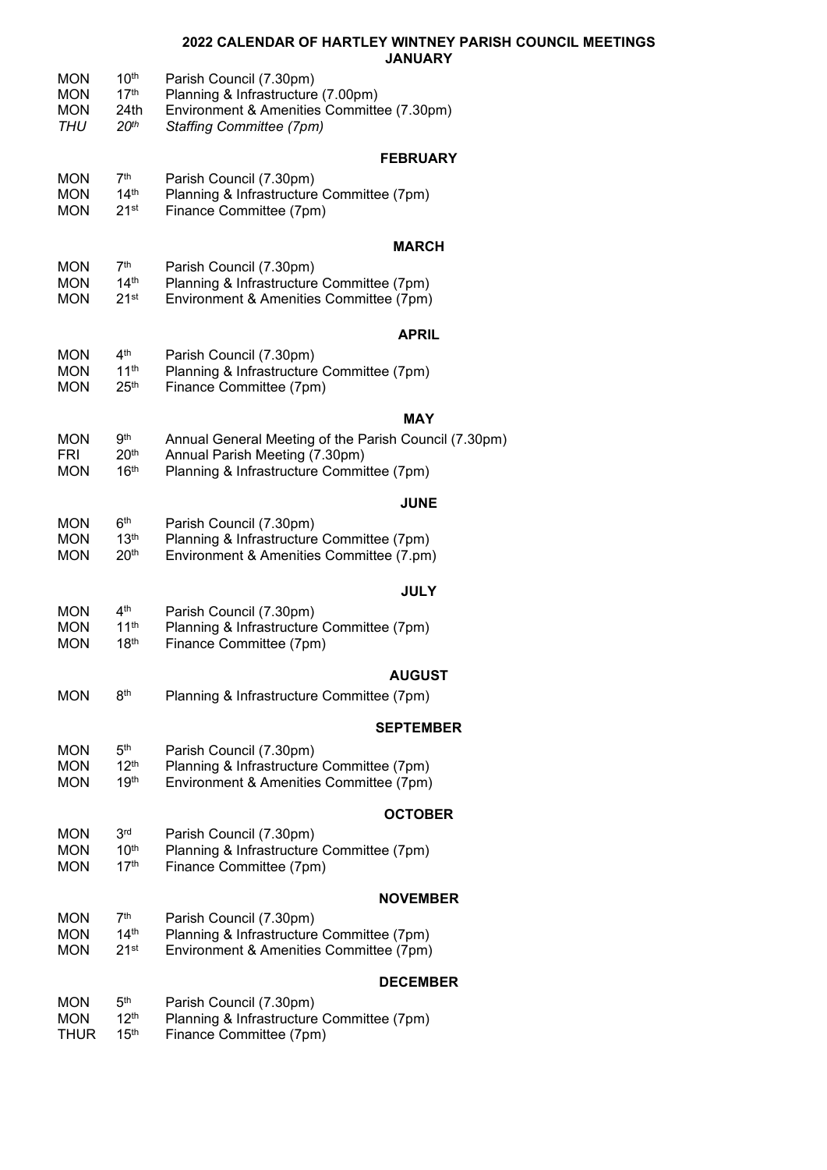## **2022 CALENDAR OF HARTLEY WINTNEY PARISH COUNCIL MEETINGS JANUARY**

|                                               |                                                                  | JANUART                                                                                                                                        |
|-----------------------------------------------|------------------------------------------------------------------|------------------------------------------------------------------------------------------------------------------------------------------------|
| <b>MON</b><br><b>MON</b><br><b>MON</b><br>THU | 10 <sup>th</sup><br>17 <sup>th</sup><br>24th<br>20 <sup>th</sup> | Parish Council (7.30pm)<br>Planning & Infrastructure (7.00pm)<br>Environment & Amenities Committee (7.30pm)<br><b>Staffing Committee (7pm)</b> |
|                                               |                                                                  | <b>FEBRUARY</b>                                                                                                                                |
| <b>MON</b><br><b>MON</b><br><b>MON</b>        | 7 <sup>th</sup><br>14 <sup>th</sup><br>21 <sup>st</sup>          | Parish Council (7.30pm)<br>Planning & Infrastructure Committee (7pm)<br>Finance Committee (7pm)                                                |
|                                               |                                                                  | <b>MARCH</b>                                                                                                                                   |
| <b>MON</b><br><b>MON</b><br><b>MON</b>        | 7 <sup>th</sup><br>14 <sup>th</sup><br>21 <sup>st</sup>          | Parish Council (7.30pm)<br>Planning & Infrastructure Committee (7pm)<br>Environment & Amenities Committee (7pm)                                |
|                                               |                                                                  | <b>APRIL</b>                                                                                                                                   |
| <b>MON</b><br><b>MON</b><br><b>MON</b>        | 4 <sup>th</sup><br>11 <sup>th</sup><br>25 <sup>th</sup>          | Parish Council (7.30pm)<br>Planning & Infrastructure Committee (7pm)<br>Finance Committee (7pm)                                                |
|                                               |                                                                  | MAY                                                                                                                                            |
| <b>MON</b><br>FRI<br><b>MON</b>               | 9 <sup>th</sup><br>20 <sup>th</sup><br>16 <sup>th</sup>          | Annual General Meeting of the Parish Council (7.30pm)<br>Annual Parish Meeting (7.30pm)<br>Planning & Infrastructure Committee (7pm)           |
|                                               |                                                                  | <b>JUNE</b>                                                                                                                                    |
| <b>MON</b><br><b>MON</b><br><b>MON</b>        | 6 <sup>th</sup><br>13 <sup>th</sup><br>20 <sup>th</sup>          | Parish Council (7.30pm)<br>Planning & Infrastructure Committee (7pm)<br>Environment & Amenities Committee (7.pm)                               |
|                                               |                                                                  | <b>JULY</b>                                                                                                                                    |
| <b>MON</b><br><b>MON</b><br><b>MON</b>        | 4 <sup>th</sup><br>11 <sup>th</sup><br>18 <sup>th</sup>          | Parish Council (7.30pm)<br>Planning & Infrastructure Committee (7pm)<br>Finance Committee (7pm)                                                |
|                                               |                                                                  | <b>AUGUST</b>                                                                                                                                  |
| <b>MON</b>                                    | 8 <sup>th</sup>                                                  | Planning & Infrastructure Committee (7pm)                                                                                                      |
|                                               |                                                                  | <b>SEPTEMBER</b>                                                                                                                               |
| <b>MON</b><br><b>MON</b>                      | 5 <sup>th</sup><br>12 <sup>th</sup>                              | Parish Council (7.30pm)<br>Planning & Infrastructure Committee (7pm)                                                                           |
| <b>MON</b>                                    | 19 <sup>th</sup>                                                 | Environment & Amenities Committee (7pm)                                                                                                        |
|                                               |                                                                  | <b>OCTOBER</b>                                                                                                                                 |
| <b>MON</b><br><b>MON</b><br><b>MON</b>        | 3 <sub>rd</sub><br>10 <sup>th</sup><br>17 <sup>th</sup>          | Parish Council (7.30pm)<br>Planning & Infrastructure Committee (7pm)<br>Finance Committee (7pm)                                                |
|                                               |                                                                  | <b>NOVEMBER</b>                                                                                                                                |
| <b>MON</b>                                    | 7 <sup>th</sup>                                                  | Parish Council (7.30pm)                                                                                                                        |
| <b>MON</b><br><b>MON</b>                      | $14^{\text{th}}$<br>$21$ <sup>st</sup>                           | Planning & Infrastructure Committee (7pm)<br>Environment & Amenities Committee (7pm)                                                           |
|                                               |                                                                  | <b>DECEMBER</b>                                                                                                                                |
| <b>MON</b>                                    | 5 <sup>th</sup>                                                  | Parish Council (7.30pm)                                                                                                                        |
| <b>MON</b><br>THUR                            | 12 <sup>th</sup><br>15 <sup>th</sup>                             | Planning & Infrastructure Committee (7pm)<br>Finance Committee (7pm)                                                                           |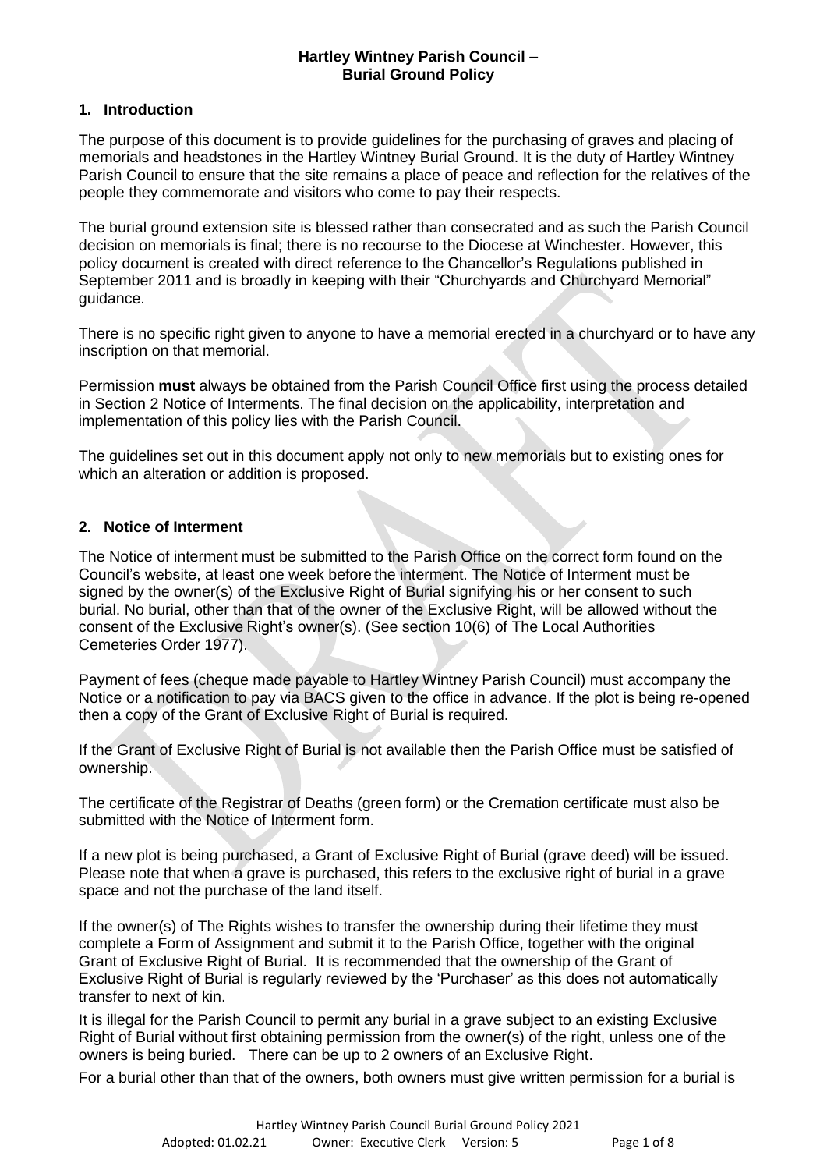# **Hartley Wintney Parish Council – Burial Ground Policy**

# **1. Introduction**

The purpose of this document is to provide guidelines for the purchasing of graves and placing of memorials and headstones in the Hartley Wintney Burial Ground. It is the duty of Hartley Wintney Parish Council to ensure that the site remains a place of peace and reflection for the relatives of the people they commemorate and visitors who come to pay their respects.

The burial ground extension site is blessed rather than consecrated and as such the Parish Council decision on memorials is final; there is no recourse to the Diocese at Winchester. However, this policy document is created with direct reference to the Chancellor's Regulations published in September 2011 and is broadly in keeping with their "Churchyards and Churchyard Memorial" guidance.

There is no specific right given to anyone to have a memorial erected in a churchyard or to have any inscription on that memorial.

Permission **must** always be obtained from the Parish Council Office first using the process detailed in Section 2 Notice of Interments. The final decision on the applicability, interpretation and implementation of this policy lies with the Parish Council.

The guidelines set out in this document apply not only to new memorials but to existing ones for which an alteration or addition is proposed.

# **2. Notice of Interment**

The Notice of interment must be submitted to the Parish Office on the correct form found on the Council's website, at least one week before the interment. The Notice of Interment must be signed by the owner(s) of the Exclusive Right of Burial signifying his or her consent to such burial. No burial, other than that of the owner of the Exclusive Right, will be allowed without the consent of the Exclusive Right's owner(s). (See section 10(6) of The Local Authorities Cemeteries Order 1977).

Payment of fees (cheque made payable to Hartley Wintney Parish Council) must accompany the Notice or a notification to pay via BACS given to the office in advance. If the plot is being re-opened then a copy of the Grant of Exclusive Right of Burial is required.

If the Grant of Exclusive Right of Burial is not available then the Parish Office must be satisfied of ownership.

The certificate of the Registrar of Deaths (green form) or the Cremation certificate must also be submitted with the Notice of Interment form.

If a new plot is being purchased, a Grant of Exclusive Right of Burial (grave deed) will be issued. Please note that when a grave is purchased, this refers to the exclusive right of burial in a grave space and not the purchase of the land itself.

If the owner(s) of The Rights wishes to transfer the ownership during their lifetime they must complete a Form of Assignment and submit it to the Parish Office, together with the original Grant of Exclusive Right of Burial. It is recommended that the ownership of the Grant of Exclusive Right of Burial is regularly reviewed by the 'Purchaser' as this does not automatically transfer to next of kin.

It is illegal for the Parish Council to permit any burial in a grave subject to an existing Exclusive Right of Burial without first obtaining permission from the owner(s) of the right, unless one of the owners is being buried. There can be up to 2 owners of an Exclusive Right.

For a burial other than that of the owners, both owners must give written permission for a burial is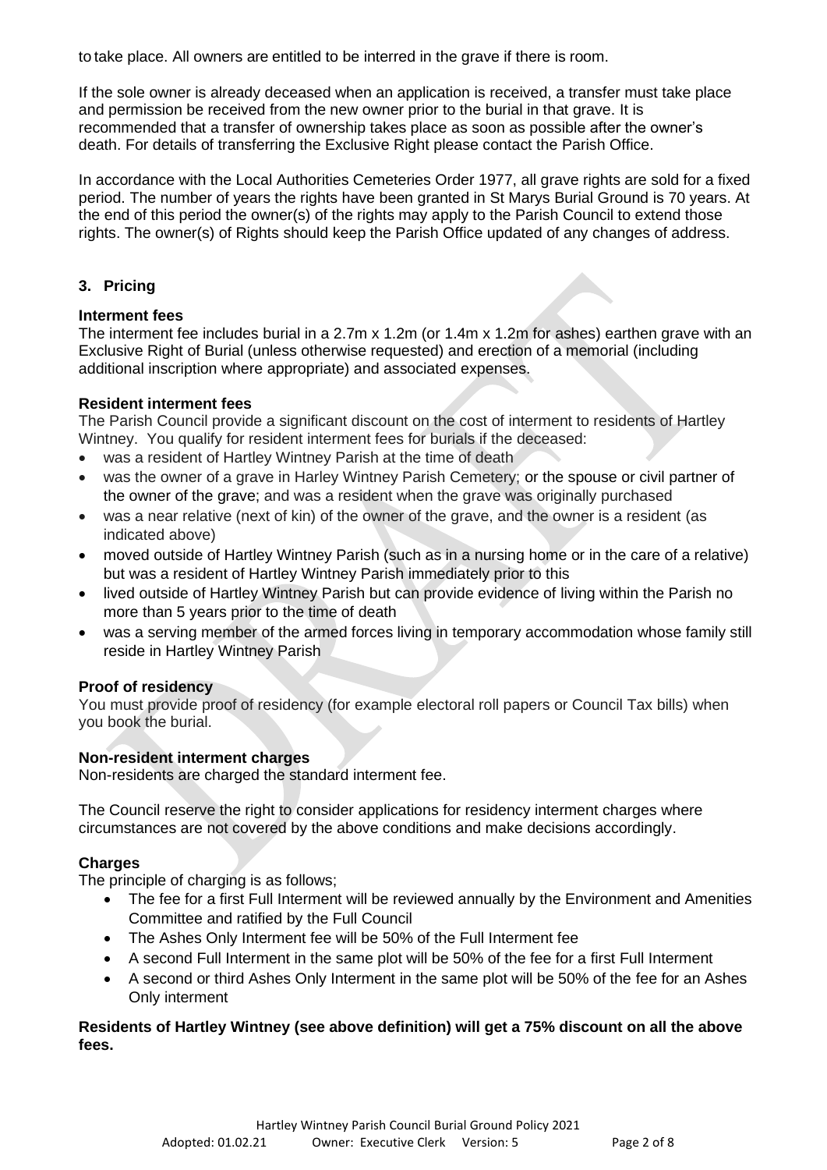to take place. All owners are entitled to be interred in the grave if there is room.

If the sole owner is already deceased when an application is received, a transfer must take place and permission be received from the new owner prior to the burial in that grave. It is recommended that a transfer of ownership takes place as soon as possible after the owner's death. For details of transferring the Exclusive Right please contact the Parish Office.

In accordance with the Local Authorities Cemeteries Order 1977, all grave rights are sold for a fixed period. The number of years the rights have been granted in St Marys Burial Ground is 70 years. At the end of this period the owner(s) of the rights may apply to the Parish Council to extend those rights. The owner(s) of Rights should keep the Parish Office updated of any changes of address.

# **3. Pricing**

# **Interment fees**

The interment fee includes burial in a 2.7m x 1.2m (or 1.4m x 1.2m for ashes) earthen grave with an Exclusive Right of Burial (unless otherwise requested) and erection of a memorial (including additional inscription where appropriate) and associated expenses.

# **Resident interment fees**

The Parish Council provide a significant discount on the cost of interment to residents of Hartley Wintney. You qualify for resident interment fees for burials if the deceased:

- was a resident of Hartley Wintney Parish at the time of death
- was the owner of a grave in Harley Wintney Parish Cemetery; or the spouse or civil partner of the owner of the grave; and was a resident when the grave was originally purchased
- was a near relative (next of kin) of the owner of the grave, and the owner is a resident (as indicated above)
- moved outside of Hartley Wintney Parish (such as in a nursing home or in the care of a relative) but was a resident of Hartley Wintney Parish immediately prior to this
- lived outside of Hartley Wintney Parish but can provide evidence of living within the Parish no more than 5 years prior to the time of death
- was a serving member of the armed forces living in temporary accommodation whose family still reside in Hartley Wintney Parish

# **Proof of residency**

You must provide proof of residency (for example electoral roll papers or Council Tax bills) when you book the burial.

# **Non-resident interment charges**

Non-residents are charged the standard interment fee.

The Council reserve the right to consider applications for residency interment charges where circumstances are not covered by the above conditions and make decisions accordingly.

# **Charges**

The principle of charging is as follows;

- The fee for a first Full Interment will be reviewed annually by the Environment and Amenities Committee and ratified by the Full Council
- The Ashes Only Interment fee will be 50% of the Full Interment fee
- A second Full Interment in the same plot will be 50% of the fee for a first Full Interment
- A second or third Ashes Only Interment in the same plot will be 50% of the fee for an Ashes Only interment

# **Residents of Hartley Wintney (see above definition) will get a 75% discount on all the above fees.**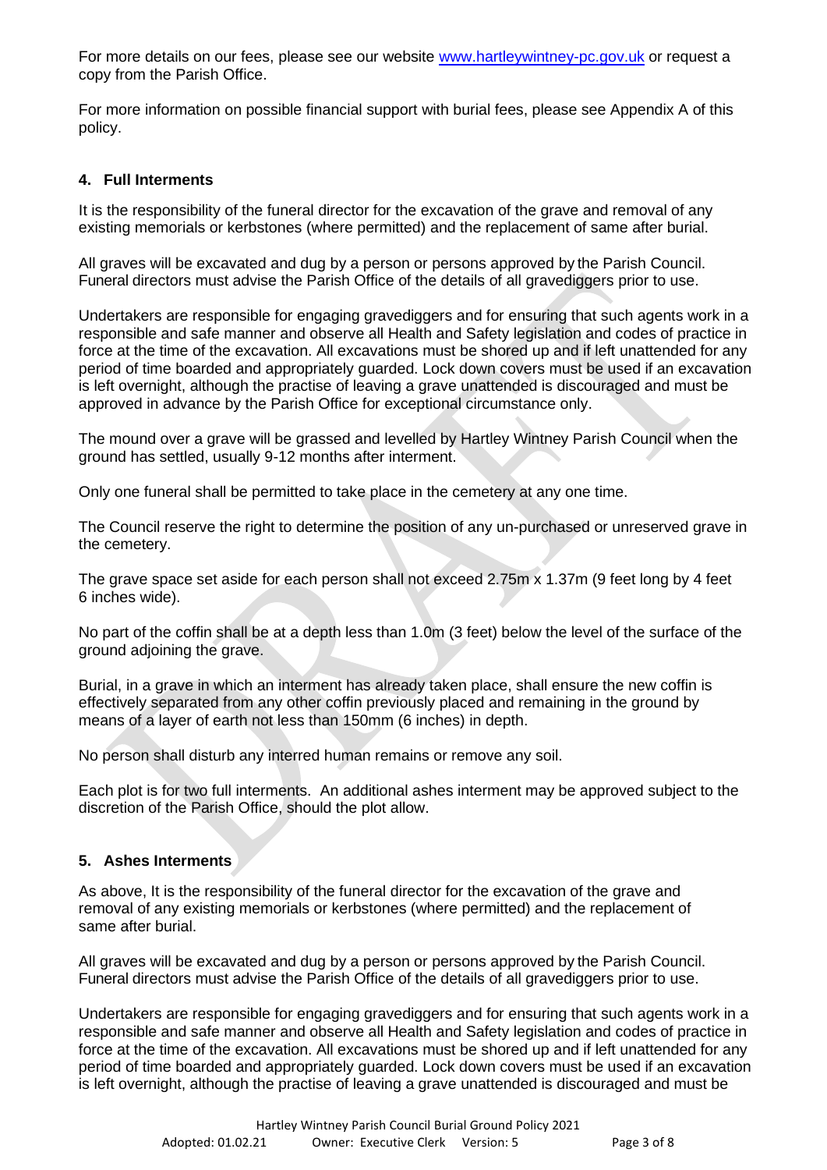For more details on our fees, please see our website [www.hartleywintney-pc.gov.uk](http://www.hartleywintney-pc.gov.uk/) or request a copy from the Parish Office.

For more information on possible financial support with burial fees, please see Appendix A of this policy.

# **4. Full Interments**

It is the responsibility of the funeral director for the excavation of the grave and removal of any existing memorials or kerbstones (where permitted) and the replacement of same after burial.

All graves will be excavated and dug by a person or persons approved by the Parish Council. Funeral directors must advise the Parish Office of the details of all gravediggers prior to use.

Undertakers are responsible for engaging gravediggers and for ensuring that such agents work in a responsible and safe manner and observe all Health and Safety legislation and codes of practice in force at the time of the excavation. All excavations must be shored up and if left unattended for any period of time boarded and appropriately guarded. Lock down covers must be used if an excavation is left overnight, although the practise of leaving a grave unattended is discouraged and must be approved in advance by the Parish Office for exceptional circumstance only.

The mound over a grave will be grassed and levelled by Hartley Wintney Parish Council when the ground has settled, usually 9-12 months after interment.

Only one funeral shall be permitted to take place in the cemetery at any one time.

The Council reserve the right to determine the position of any un-purchased or unreserved grave in the cemetery.

The grave space set aside for each person shall not exceed 2.75m x 1.37m (9 feet long by 4 feet 6 inches wide).

No part of the coffin shall be at a depth less than 1.0m (3 feet) below the level of the surface of the ground adjoining the grave.

Burial, in a grave in which an interment has already taken place, shall ensure the new coffin is effectively separated from any other coffin previously placed and remaining in the ground by means of a layer of earth not less than 150mm (6 inches) in depth.

No person shall disturb any interred human remains or remove any soil.

Each plot is for two full interments. An additional ashes interment may be approved subject to the discretion of the Parish Office, should the plot allow.

# **5. Ashes Interments**

As above, It is the responsibility of the funeral director for the excavation of the grave and removal of any existing memorials or kerbstones (where permitted) and the replacement of same after burial.

All graves will be excavated and dug by a person or persons approved by the Parish Council. Funeral directors must advise the Parish Office of the details of all gravediggers prior to use.

Undertakers are responsible for engaging gravediggers and for ensuring that such agents work in a responsible and safe manner and observe all Health and Safety legislation and codes of practice in force at the time of the excavation. All excavations must be shored up and if left unattended for any period of time boarded and appropriately guarded. Lock down covers must be used if an excavation is left overnight, although the practise of leaving a grave unattended is discouraged and must be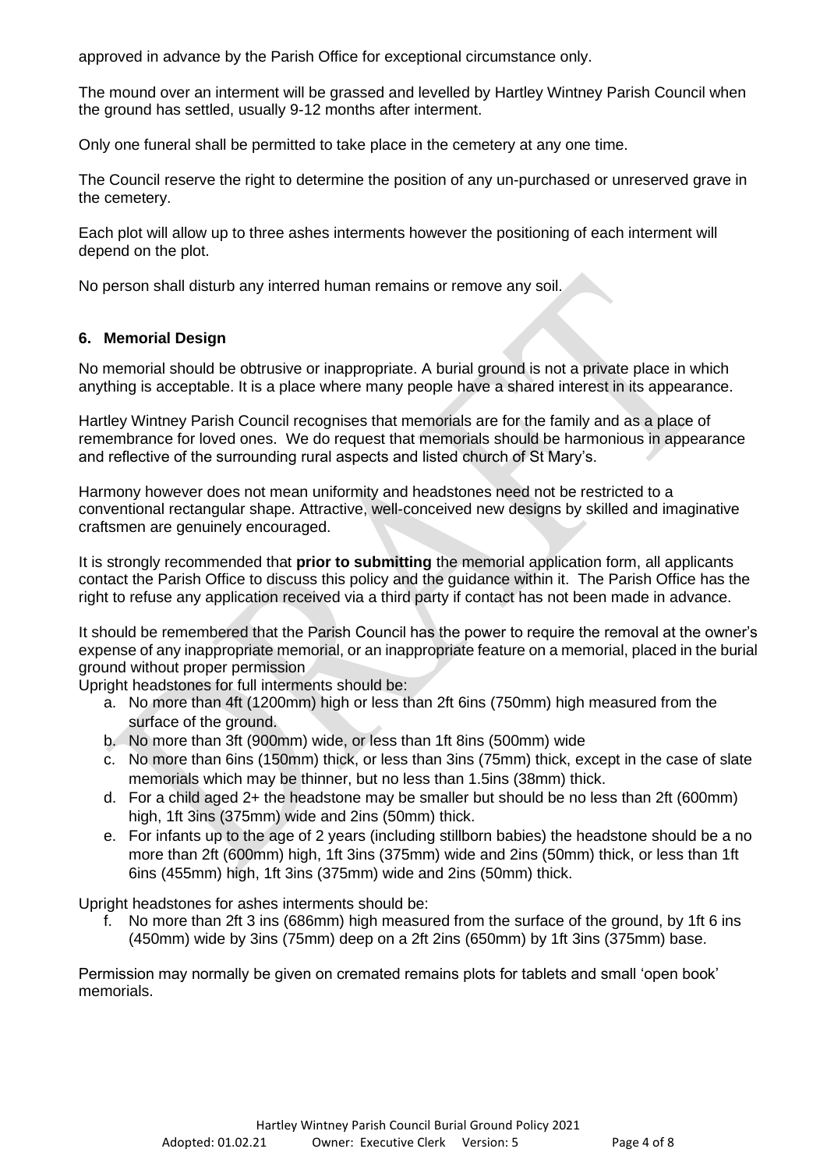approved in advance by the Parish Office for exceptional circumstance only.

The mound over an interment will be grassed and levelled by Hartley Wintney Parish Council when the ground has settled, usually 9-12 months after interment.

Only one funeral shall be permitted to take place in the cemetery at any one time.

The Council reserve the right to determine the position of any un-purchased or unreserved grave in the cemetery.

Each plot will allow up to three ashes interments however the positioning of each interment will depend on the plot.

No person shall disturb any interred human remains or remove any soil.

# **6. Memorial Design**

No memorial should be obtrusive or inappropriate. A burial ground is not a private place in which anything is acceptable. It is a place where many people have a shared interest in its appearance.

Hartley Wintney Parish Council recognises that memorials are for the family and as a place of remembrance for loved ones. We do request that memorials should be harmonious in appearance and reflective of the surrounding rural aspects and listed church of St Mary's.

Harmony however does not mean uniformity and headstones need not be restricted to a conventional rectangular shape. Attractive, well-conceived new designs by skilled and imaginative craftsmen are genuinely encouraged.

It is strongly recommended that **prior to submitting** the memorial application form, all applicants contact the Parish Office to discuss this policy and the guidance within it. The Parish Office has the right to refuse any application received via a third party if contact has not been made in advance.

It should be remembered that the Parish Council has the power to require the removal at the owner's expense of any inappropriate memorial, or an inappropriate feature on a memorial, placed in the burial ground without proper permission

Upright headstones for full interments should be:

- a. No more than 4ft (1200mm) high or less than 2ft 6ins (750mm) high measured from the surface of the ground.
- b. No more than 3ft (900mm) wide, or less than 1ft 8ins (500mm) wide
- c. No more than 6ins (150mm) thick, or less than 3ins (75mm) thick, except in the case of slate memorials which may be thinner, but no less than 1.5ins (38mm) thick.
- d. For a child aged 2+ the headstone may be smaller but should be no less than 2ft (600mm) high, 1ft 3ins (375mm) wide and 2ins (50mm) thick.
- e. For infants up to the age of 2 years (including stillborn babies) the headstone should be a no more than 2ft (600mm) high, 1ft 3ins (375mm) wide and 2ins (50mm) thick, or less than 1ft 6ins (455mm) high, 1ft 3ins (375mm) wide and 2ins (50mm) thick.

Upright headstones for ashes interments should be:

f. No more than 2ft 3 ins (686mm) high measured from the surface of the ground, by 1ft 6 ins (450mm) wide by 3ins (75mm) deep on a 2ft 2ins (650mm) by 1ft 3ins (375mm) base.

Permission may normally be given on cremated remains plots for tablets and small 'open book' memorials.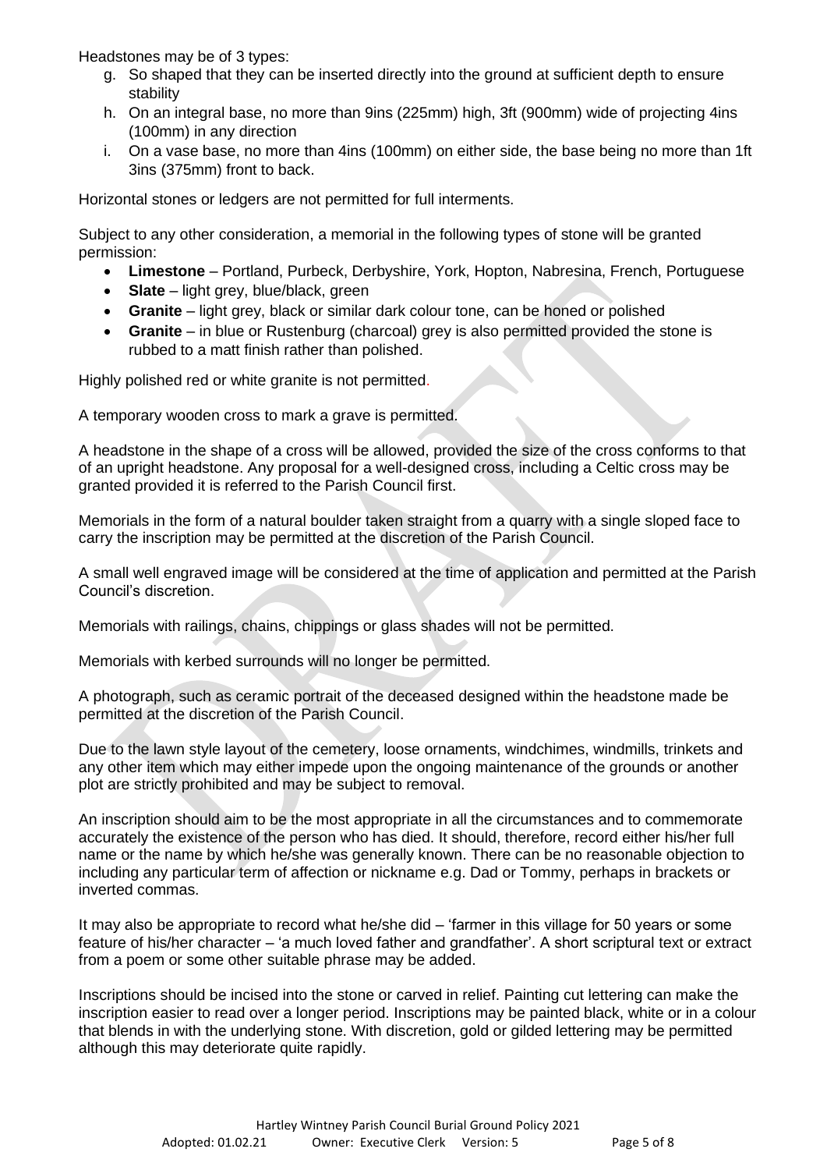Headstones may be of 3 types:

- g. So shaped that they can be inserted directly into the ground at sufficient depth to ensure stability
- h. On an integral base, no more than 9ins (225mm) high, 3ft (900mm) wide of projecting 4ins (100mm) in any direction
- i. On a vase base, no more than 4ins (100mm) on either side, the base being no more than 1ft 3ins (375mm) front to back.

Horizontal stones or ledgers are not permitted for full interments.

Subject to any other consideration, a memorial in the following types of stone will be granted permission:

- **Limestone** Portland, Purbeck, Derbyshire, York, Hopton, Nabresina, French, Portuguese
- **Slate** light grey, blue/black, green
- **Granite** light grey, black or similar dark colour tone, can be honed or polished
- **Granite** in blue or Rustenburg (charcoal) grey is also permitted provided the stone is rubbed to a matt finish rather than polished.

Highly polished red or white granite is not permitted.

A temporary wooden cross to mark a grave is permitted.

A headstone in the shape of a cross will be allowed, provided the size of the cross conforms to that of an upright headstone. Any proposal for a well-designed cross, including a Celtic cross may be granted provided it is referred to the Parish Council first.

Memorials in the form of a natural boulder taken straight from a quarry with a single sloped face to carry the inscription may be permitted at the discretion of the Parish Council.

A small well engraved image will be considered at the time of application and permitted at the Parish Council's discretion.

Memorials with railings, chains, chippings or glass shades will not be permitted.

Memorials with kerbed surrounds will no longer be permitted.

A photograph, such as ceramic portrait of the deceased designed within the headstone made be permitted at the discretion of the Parish Council.

Due to the lawn style layout of the cemetery, loose ornaments, windchimes, windmills, trinkets and any other item which may either impede upon the ongoing maintenance of the grounds or another plot are strictly prohibited and may be subject to removal.

An inscription should aim to be the most appropriate in all the circumstances and to commemorate accurately the existence of the person who has died. It should, therefore, record either his/her full name or the name by which he/she was generally known. There can be no reasonable objection to including any particular term of affection or nickname e.g. Dad or Tommy, perhaps in brackets or inverted commas.

It may also be appropriate to record what he/she did – 'farmer in this village for 50 years or some feature of his/her character – 'a much loved father and grandfather'. A short scriptural text or extract from a poem or some other suitable phrase may be added.

Inscriptions should be incised into the stone or carved in relief. Painting cut lettering can make the inscription easier to read over a longer period. Inscriptions may be painted black, white or in a colour that blends in with the underlying stone. With discretion, gold or gilded lettering may be permitted although this may deteriorate quite rapidly.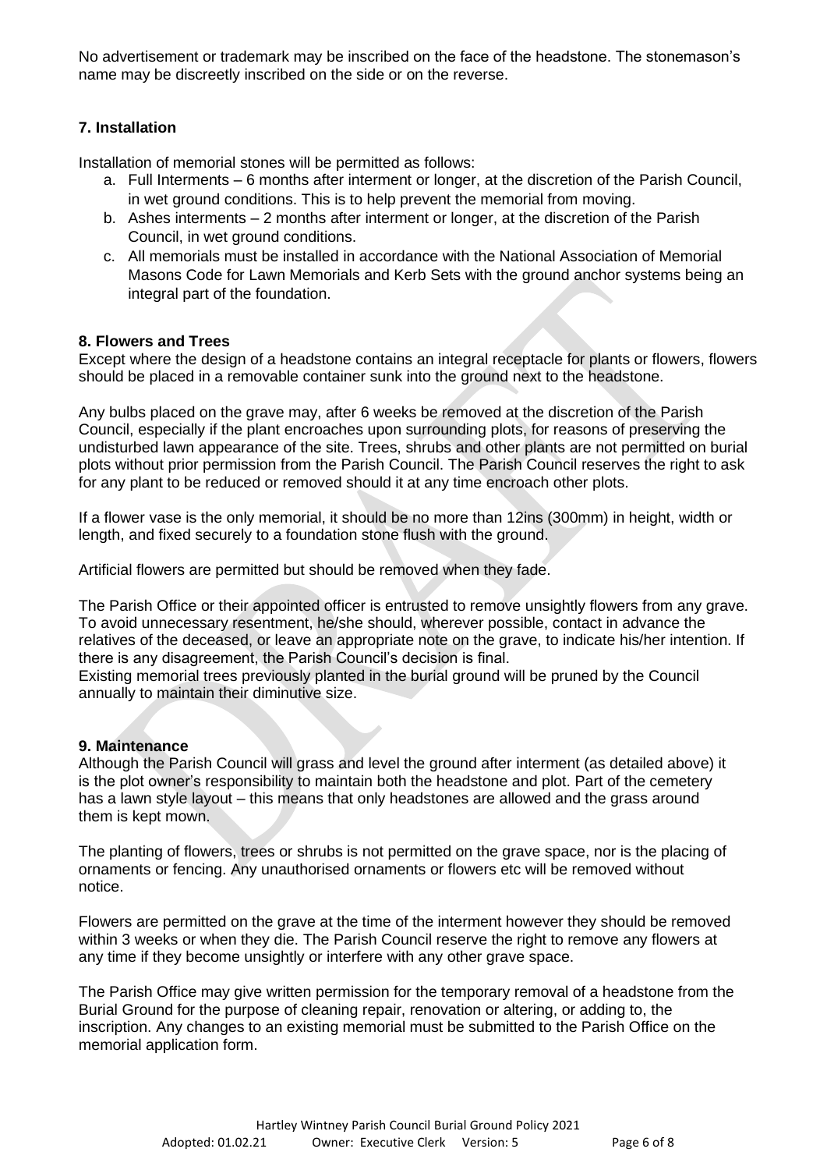No advertisement or trademark may be inscribed on the face of the headstone. The stonemason's name may be discreetly inscribed on the side or on the reverse.

# **7. Installation**

Installation of memorial stones will be permitted as follows:

- a. Full Interments 6 months after interment or longer, at the discretion of the Parish Council, in wet ground conditions. This is to help prevent the memorial from moving.
- b. Ashes interments 2 months after interment or longer, at the discretion of the Parish Council, in wet ground conditions.
- c. All memorials must be installed in accordance with the National Association of Memorial Masons Code for Lawn Memorials and Kerb Sets with the ground anchor systems being an integral part of the foundation.

# **8. Flowers and Trees**

Except where the design of a headstone contains an integral receptacle for plants or flowers, flowers should be placed in a removable container sunk into the ground next to the headstone.

Any bulbs placed on the grave may, after 6 weeks be removed at the discretion of the Parish Council, especially if the plant encroaches upon surrounding plots, for reasons of preserving the undisturbed lawn appearance of the site. Trees, shrubs and other plants are not permitted on burial plots without prior permission from the Parish Council. The Parish Council reserves the right to ask for any plant to be reduced or removed should it at any time encroach other plots.

If a flower vase is the only memorial, it should be no more than 12ins (300mm) in height, width or length, and fixed securely to a foundation stone flush with the ground.

Artificial flowers are permitted but should be removed when they fade.

The Parish Office or their appointed officer is entrusted to remove unsightly flowers from any grave. To avoid unnecessary resentment, he/she should, wherever possible, contact in advance the relatives of the deceased, or leave an appropriate note on the grave, to indicate his/her intention. If there is any disagreement, the Parish Council's decision is final.

Existing memorial trees previously planted in the burial ground will be pruned by the Council annually to maintain their diminutive size.

# **9. Maintenance**

Although the Parish Council will grass and level the ground after interment (as detailed above) it is the plot owner's responsibility to maintain both the headstone and plot. Part of the cemetery has a lawn style layout – this means that only headstones are allowed and the grass around them is kept mown.

The planting of flowers, trees or shrubs is not permitted on the grave space, nor is the placing of ornaments or fencing. Any unauthorised ornaments or flowers etc will be removed without notice.

Flowers are permitted on the grave at the time of the interment however they should be removed within 3 weeks or when they die. The Parish Council reserve the right to remove any flowers at any time if they become unsightly or interfere with any other grave space.

The Parish Office may give written permission for the temporary removal of a headstone from the Burial Ground for the purpose of cleaning repair, renovation or altering, or adding to, the inscription. Any changes to an existing memorial must be submitted to the Parish Office on the memorial application form.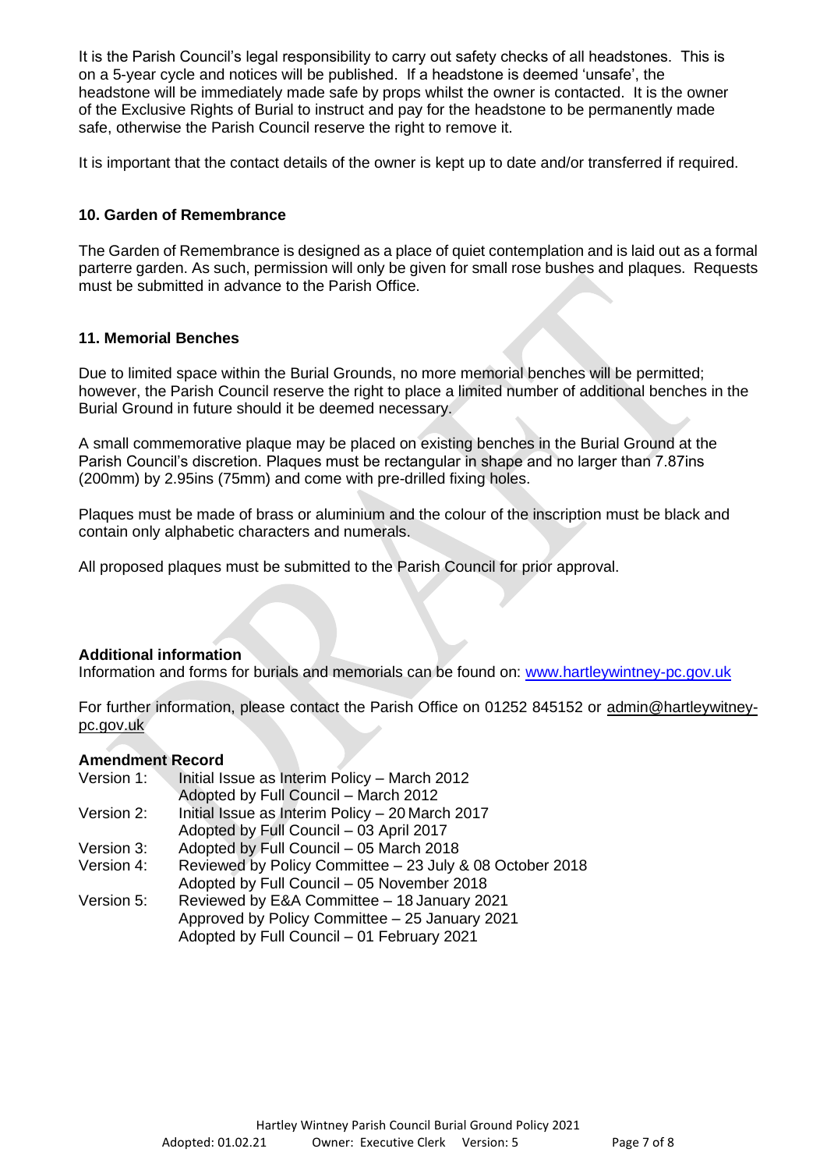It is the Parish Council's legal responsibility to carry out safety checks of all headstones. This is on a 5-year cycle and notices will be published. If a headstone is deemed 'unsafe', the headstone will be immediately made safe by props whilst the owner is contacted. It is the owner of the Exclusive Rights of Burial to instruct and pay for the headstone to be permanently made safe, otherwise the Parish Council reserve the right to remove it.

It is important that the contact details of the owner is kept up to date and/or transferred if required.

# **10. Garden of Remembrance**

The Garden of Remembrance is designed as a place of quiet contemplation and is laid out as a formal parterre garden. As such, permission will only be given for small rose bushes and plaques. Requests must be submitted in advance to the Parish Office.

# **11. Memorial Benches**

Due to limited space within the Burial Grounds, no more memorial benches will be permitted; however, the Parish Council reserve the right to place a limited number of additional benches in the Burial Ground in future should it be deemed necessary.

A small commemorative plaque may be placed on existing benches in the Burial Ground at the Parish Council's discretion. Plaques must be rectangular in shape and no larger than 7.87ins (200mm) by 2.95ins (75mm) and come with pre-drilled fixing holes.

Plaques must be made of brass or aluminium and the colour of the inscription must be black and contain only alphabetic characters and numerals.

All proposed plaques must be submitted to the Parish Council for prior approval.

# **Additional information**

Information and forms for burials and memorials can be found on: [www.hartleywintney-pc.gov.uk](http://www.hartleywintney-pc.gov.uk/)

For further information, please contact the Parish Office on 01252 845152 or [admin@hartleywitney](mailto:admin@hartleywitney-pc.gov.uk)[pc.gov.uk](mailto:admin@hartleywitney-pc.gov.uk)

#### **Amendment Record**

- Version 1: Initial Issue as Interim Policy March 2012 Adopted by Full Council – March 2012 Version 2: Initial Issue as Interim Policy – 20 March 2017 Adopted by Full Council – 03 April 2017 Version 3: Adopted by Full Council – 05 March 2018 Version 4: Reviewed by Policy Committee – 23 July & 08 October 2018
- Adopted by Full Council 05 November 2018
- Version 5: Reviewed by E&A Committee 18 January 2021 Approved by Policy Committee – 25 January 2021 Adopted by Full Council – 01 February 2021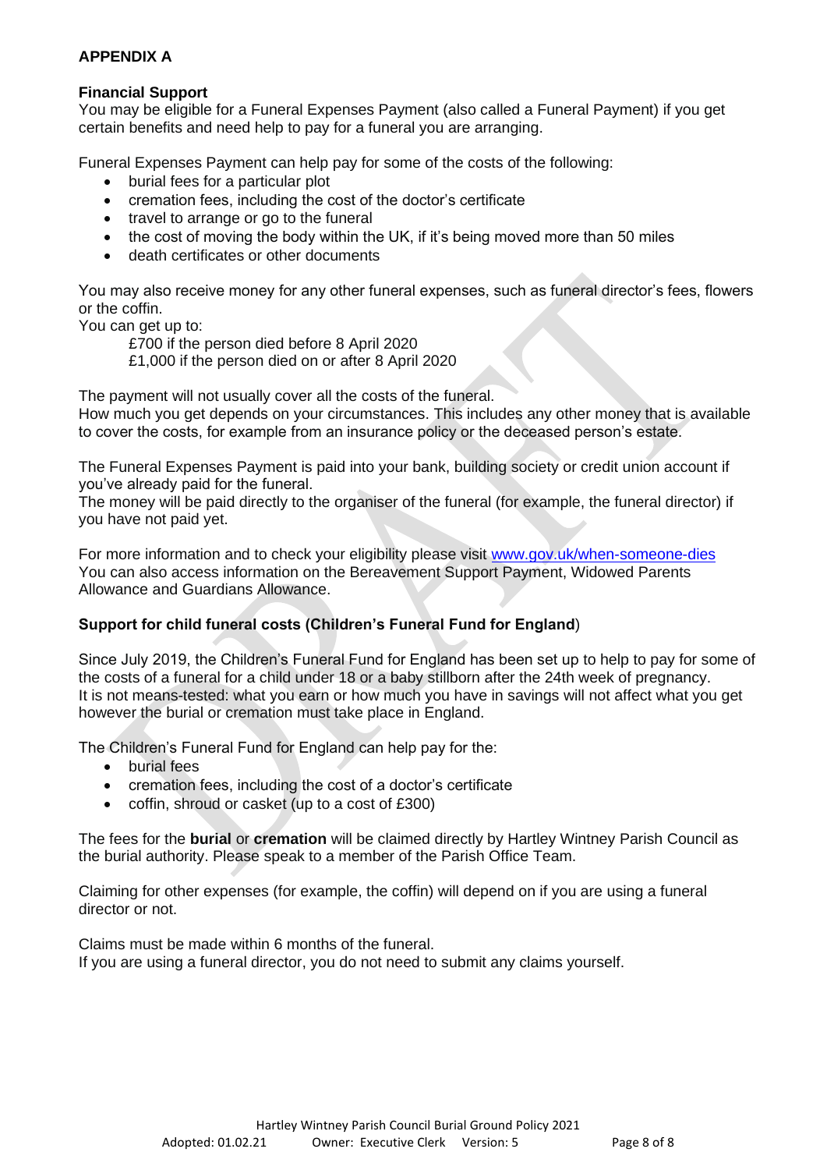# **APPENDIX A**

# **Financial Support**

You may be eligible for a Funeral Expenses Payment (also called a Funeral Payment) if you get certain benefits and need help to pay for a funeral you are arranging.

Funeral Expenses Payment can help pay for some of the costs of the following:

- burial fees for a particular plot
- cremation fees, including the cost of the doctor's certificate
- travel to arrange or go to the funeral
- the cost of moving the body within the UK, if it's being moved more than 50 miles
- death certificates or other documents

You may also receive money for any other funeral expenses, such as funeral director's fees, flowers or the coffin.

You can get up to:

£700 if the person died before 8 April 2020

£1,000 if the person died on or after 8 April 2020

The payment will not usually cover all the costs of the funeral.

How much you get depends on your circumstances. This includes any other money that is available to cover the costs, for example from an insurance policy or the deceased person's estate.

The Funeral Expenses Payment is paid into your bank, building society or credit union account if you've already paid for the funeral.

The money will be paid directly to the organiser of the funeral (for example, the funeral director) if you have not paid yet.

For more information and to check your eligibility please visit [www.gov.uk/when-someone-dies](http://www.gov.uk/when-someone-dies) You can also access information on the Bereavement Support Payment, Widowed Parents Allowance and Guardians Allowance.

# **Support for child funeral costs (Children's Funeral Fund for England**)

Since July 2019, the Children's Funeral Fund for England has been set up to help to pay for some of the costs of a funeral for a child under 18 or a baby stillborn after the 24th week of pregnancy. It is not means-tested: what you earn or how much you have in savings will not affect what you get however the burial or cremation must take place in England.

The Children's Funeral Fund for England can help pay for the:

- burial fees
- cremation fees, including the cost of a doctor's certificate
- coffin, shroud or casket (up to a cost of £300)

The fees for the **burial** or **cremation** will be claimed directly by Hartley Wintney Parish Council as the burial authority. Please speak to a member of the Parish Office Team.

Claiming for other expenses (for example, the coffin) will depend on if you are using a funeral director or not.

Claims must be made within 6 months of the funeral. If you are using a funeral director, you do not need to submit any claims yourself.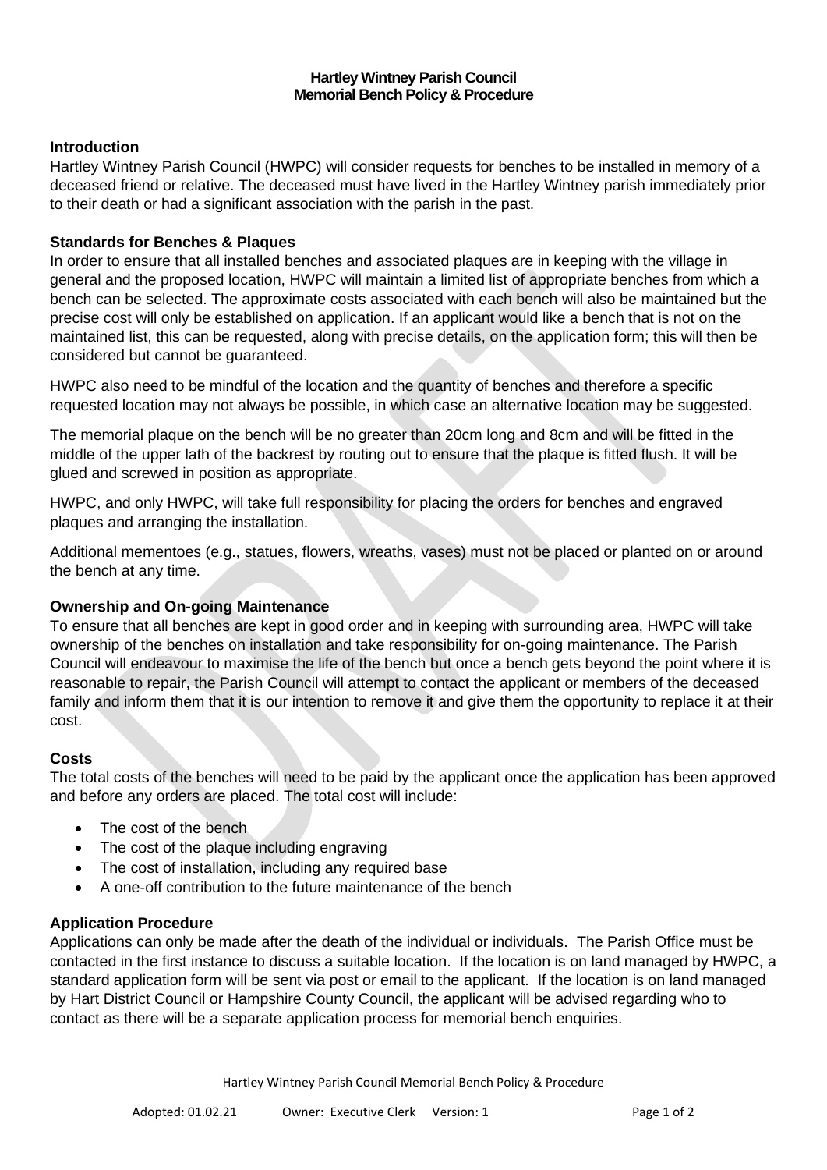### **Hartley Wintney Parish Council Memorial Bench Policy & Procedure**

## **Introduction**

Hartley Wintney Parish Council (HWPC) will consider requests for benches to be installed in memory of a deceased friend or relative. The deceased must have lived in the Hartley Wintney parish immediately prior to their death or had a significant association with the parish in the past.

## **Standards for Benches & Plaques**

In order to ensure that all installed benches and associated plaques are in keeping with the village in general and the proposed location, HWPC will maintain a limited list of appropriate benches from which a bench can be selected. The approximate costs associated with each bench will also be maintained but the precise cost will only be established on application. If an applicant would like a bench that is not on the maintained list, this can be requested, along with precise details, on the application form; this will then be considered but cannot be guaranteed.

HWPC also need to be mindful of the location and the quantity of benches and therefore a specific requested location may not always be possible, in which case an alternative location may be suggested.

The memorial plaque on the bench will be no greater than 20cm long and 8cm and will be fitted in the middle of the upper lath of the backrest by routing out to ensure that the plaque is fitted flush. It will be glued and screwed in position as appropriate.

HWPC, and only HWPC, will take full responsibility for placing the orders for benches and engraved plaques and arranging the installation.

Additional mementoes (e.g., statues, flowers, wreaths, vases) must not be placed or planted on or around the bench at any time.

#### **Ownership and On-going Maintenance**

To ensure that all benches are kept in good order and in keeping with surrounding area, HWPC will take ownership of the benches on installation and take responsibility for on-going maintenance. The Parish Council will endeavour to maximise the life of the bench but once a bench gets beyond the point where it is reasonable to repair, the Parish Council will attempt to contact the applicant or members of the deceased family and inform them that it is our intention to remove it and give them the opportunity to replace it at their cost.

#### **Costs**

The total costs of the benches will need to be paid by the applicant once the application has been approved and before any orders are placed. The total cost will include:

- The cost of the bench
- The cost of the plaque including engraving
- The cost of installation, including any required base
- A one-off contribution to the future maintenance of the bench

## **Application Procedure**

Applications can only be made after the death of the individual or individuals. The Parish Office must be contacted in the first instance to discuss a suitable location. If the location is on land managed by HWPC, a standard application form will be sent via post or email to the applicant. If the location is on land managed by Hart District Council or Hampshire County Council, the applicant will be advised regarding who to contact as there will be a separate application process for memorial bench enquiries.

Hartley Wintney Parish Council Memorial Bench Policy & Procedure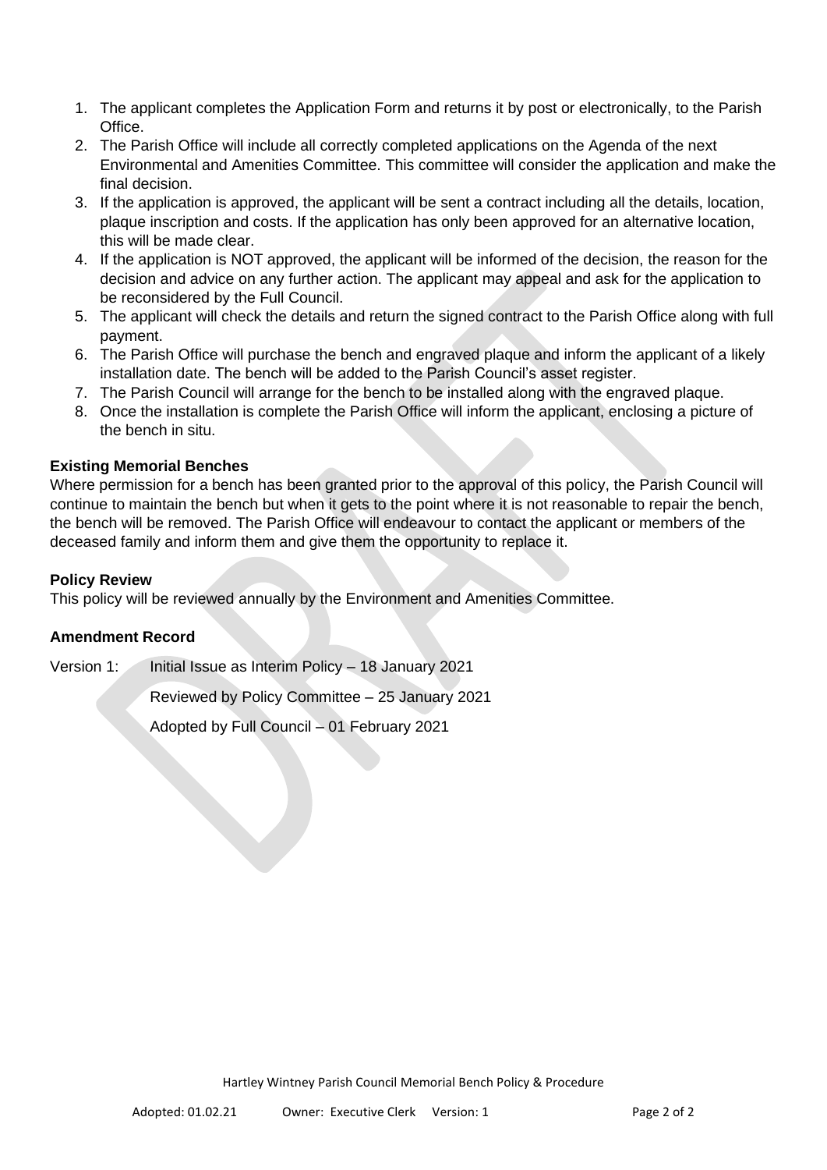- 1. The applicant completes the Application Form and returns it by post or electronically, to the Parish Office.
- 2. The Parish Office will include all correctly completed applications on the Agenda of the next Environmental and Amenities Committee. This committee will consider the application and make the final decision.
- 3. If the application is approved, the applicant will be sent a contract including all the details, location, plaque inscription and costs. If the application has only been approved for an alternative location, this will be made clear.
- 4. If the application is NOT approved, the applicant will be informed of the decision, the reason for the decision and advice on any further action. The applicant may appeal and ask for the application to be reconsidered by the Full Council.
- 5. The applicant will check the details and return the signed contract to the Parish Office along with full payment.
- 6. The Parish Office will purchase the bench and engraved plaque and inform the applicant of a likely installation date. The bench will be added to the Parish Council's asset register.
- 7. The Parish Council will arrange for the bench to be installed along with the engraved plaque.
- 8. Once the installation is complete the Parish Office will inform the applicant, enclosing a picture of the bench in situ.

# **Existing Memorial Benches**

Where permission for a bench has been granted prior to the approval of this policy, the Parish Council will continue to maintain the bench but when it gets to the point where it is not reasonable to repair the bench, the bench will be removed. The Parish Office will endeavour to contact the applicant or members of the deceased family and inform them and give them the opportunity to replace it.

# **Policy Review**

This policy will be reviewed annually by the Environment and Amenities Committee.

# **Amendment Record**

Version 1: Initial Issue as Interim Policy – 18 January 2021

Reviewed by Policy Committee – 25 January 2021

Adopted by Full Council – 01 February 2021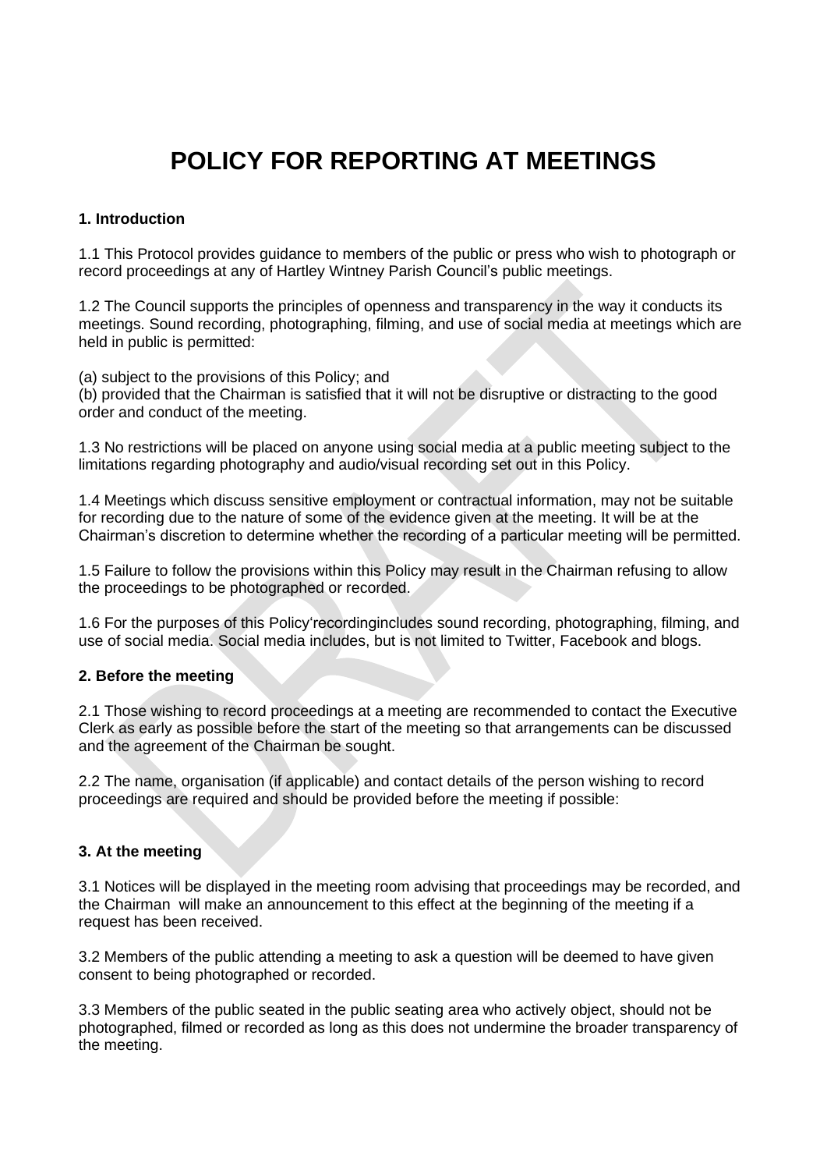# **POLICY FOR REPORTING AT MEETINGS**

# **1. Introduction**

1.1 This Protocol provides guidance to members of the public or press who wish to photograph or record proceedings at any of Hartley Wintney Parish Council's public meetings.

1.2 The Council supports the principles of openness and transparency in the way it conducts its meetings. Sound recording, photographing, filming, and use of social media at meetings which are held in public is permitted:

(a) subject to the provisions of this Policy; and

(b) provided that the Chairman is satisfied that it will not be disruptive or distracting to the good order and conduct of the meeting.

1.3 No restrictions will be placed on anyone using social media at a public meeting subject to the limitations regarding photography and audio/visual recording set out in this Policy.

1.4 Meetings which discuss sensitive employment or contractual information, may not be suitable for recording due to the nature of some of the evidence given at the meeting. It will be at the Chairman's discretion to determine whether the recording of a particular meeting will be permitted.

1.5 Failure to follow the provisions within this Policy may result in the Chairman refusing to allow the proceedings to be photographed or recorded.

1.6 For the purposes of this Policy'recordingincludes sound recording, photographing, filming, and use of social media. Social media includes, but is not limited to Twitter, Facebook and blogs.

#### **2. Before the meeting**

2.1 Those wishing to record proceedings at a meeting are recommended to contact the Executive Clerk as early as possible before the start of the meeting so that arrangements can be discussed and the agreement of the Chairman be sought.

2.2 The name, organisation (if applicable) and contact details of the person wishing to record proceedings are required and should be provided before the meeting if possible:

# **3. At the meeting**

3.1 Notices will be displayed in the meeting room advising that proceedings may be recorded, and the Chairman will make an announcement to this effect at the beginning of the meeting if a request has been received.

3.2 Members of the public attending a meeting to ask a question will be deemed to have given consent to being photographed or recorded.

3.3 Members of the public seated in the public seating area who actively object, should not be photographed, filmed or recorded as long as this does not undermine the broader transparency of the meeting.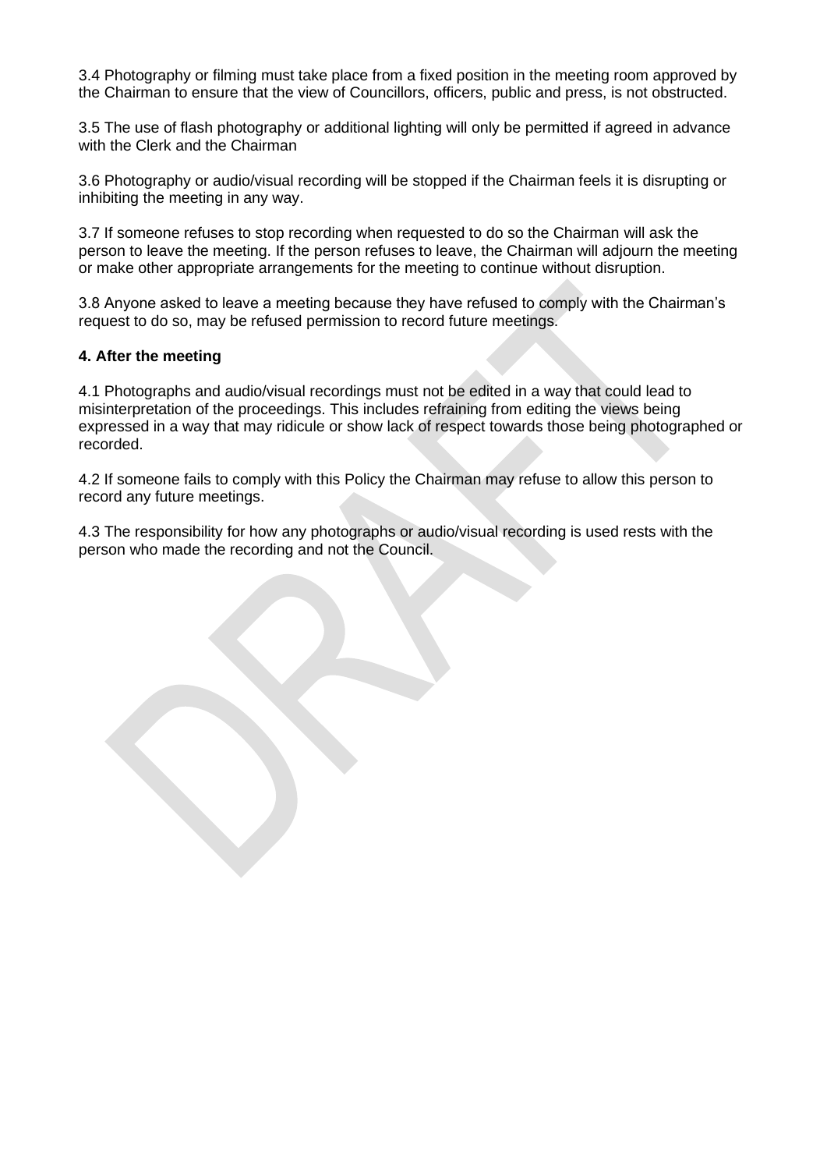3.4 Photography or filming must take place from a fixed position in the meeting room approved by the Chairman to ensure that the view of Councillors, officers, public and press, is not obstructed.

3.5 The use of flash photography or additional lighting will only be permitted if agreed in advance with the Clerk and the Chairman

3.6 Photography or audio/visual recording will be stopped if the Chairman feels it is disrupting or inhibiting the meeting in any way.

3.7 If someone refuses to stop recording when requested to do so the Chairman will ask the person to leave the meeting. If the person refuses to leave, the Chairman will adjourn the meeting or make other appropriate arrangements for the meeting to continue without disruption.

3.8 Anyone asked to leave a meeting because they have refused to comply with the Chairman's request to do so, may be refused permission to record future meetings.

## **4. After the meeting**

4.1 Photographs and audio/visual recordings must not be edited in a way that could lead to misinterpretation of the proceedings. This includes refraining from editing the views being expressed in a way that may ridicule or show lack of respect towards those being photographed or recorded.

4.2 If someone fails to comply with this Policy the Chairman may refuse to allow this person to record any future meetings.

4.3 The responsibility for how any photographs or audio/visual recording is used rests with the person who made the recording and not the Council.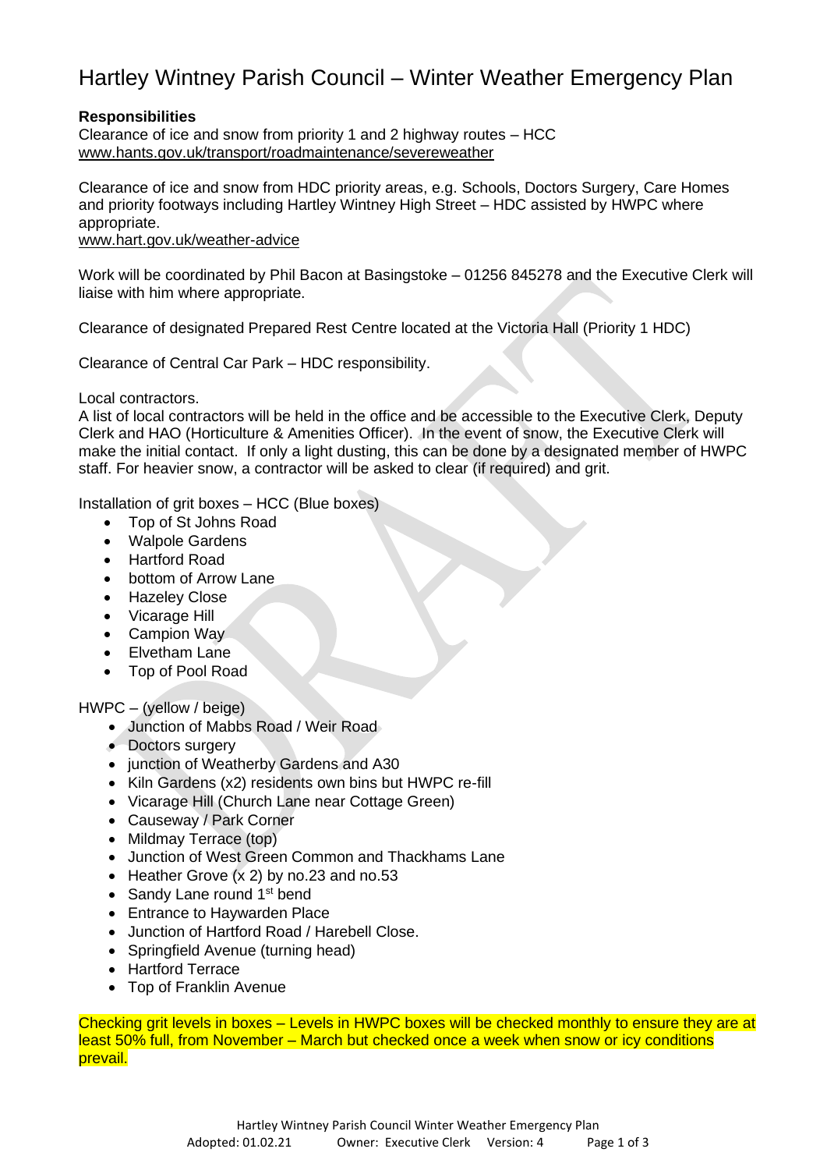# Hartley Wintney Parish Council – Winter Weather Emergency Plan

# **Responsibilities**

Clearance of ice and snow from priority 1 and 2 highway routes – HCC [www.hants.gov.uk/transport/roadmaintenance/severeweather](https://www.hants.gov.uk/transport/roadmaintenance/severeweather)

Clearance of ice and snow from HDC priority areas, e.g. Schools, Doctors Surgery, Care Homes and priority footways including Hartley Wintney High Street – HDC assisted by HWPC where appropriate.

[www.hart.gov.uk/weather-advice](http://www.hart.gov.uk/weather-advice)

Work will be coordinated by Phil Bacon at Basingstoke – 01256 845278 and the Executive Clerk will liaise with him where appropriate.

Clearance of designated Prepared Rest Centre located at the Victoria Hall (Priority 1 HDC)

Clearance of Central Car Park – HDC responsibility.

Local contractors.

A list of local contractors will be held in the office and be accessible to the Executive Clerk, Deputy Clerk and HAO (Horticulture & Amenities Officer). In the event of snow, the Executive Clerk will make the initial contact. If only a light dusting, this can be done by a designated member of HWPC staff. For heavier snow, a contractor will be asked to clear (if required) and grit.

Installation of grit boxes – HCC (Blue boxes)

- Top of St Johns Road
- Walpole Gardens
- Hartford Road
- bottom of Arrow Lane
- Hazeley Close
- Vicarage Hill
- Campion Way
- Elvetham Lane
- Top of Pool Road

HWPC – (yellow / beige)

- Junction of Mabbs Road / Weir Road
- Doctors surgery
- junction of Weatherby Gardens and A30
- Kiln Gardens (x2) residents own bins but HWPC re-fill
- Vicarage Hill (Church Lane near Cottage Green)
- Causeway / Park Corner
- Mildmay Terrace (top)
- Junction of West Green Common and Thackhams Lane
- Heather Grove  $(x 2)$  by no.23 and no.53
- Sandy Lane round 1<sup>st</sup> bend
- Entrance to Haywarden Place
- Junction of Hartford Road / Harebell Close.
- Springfield Avenue (turning head)
- Hartford Terrace
- Top of Franklin Avenue

Checking grit levels in boxes – Levels in HWPC boxes will be checked monthly to ensure they are at least 50% full, from November – March but checked once a week when snow or icy conditions prevail.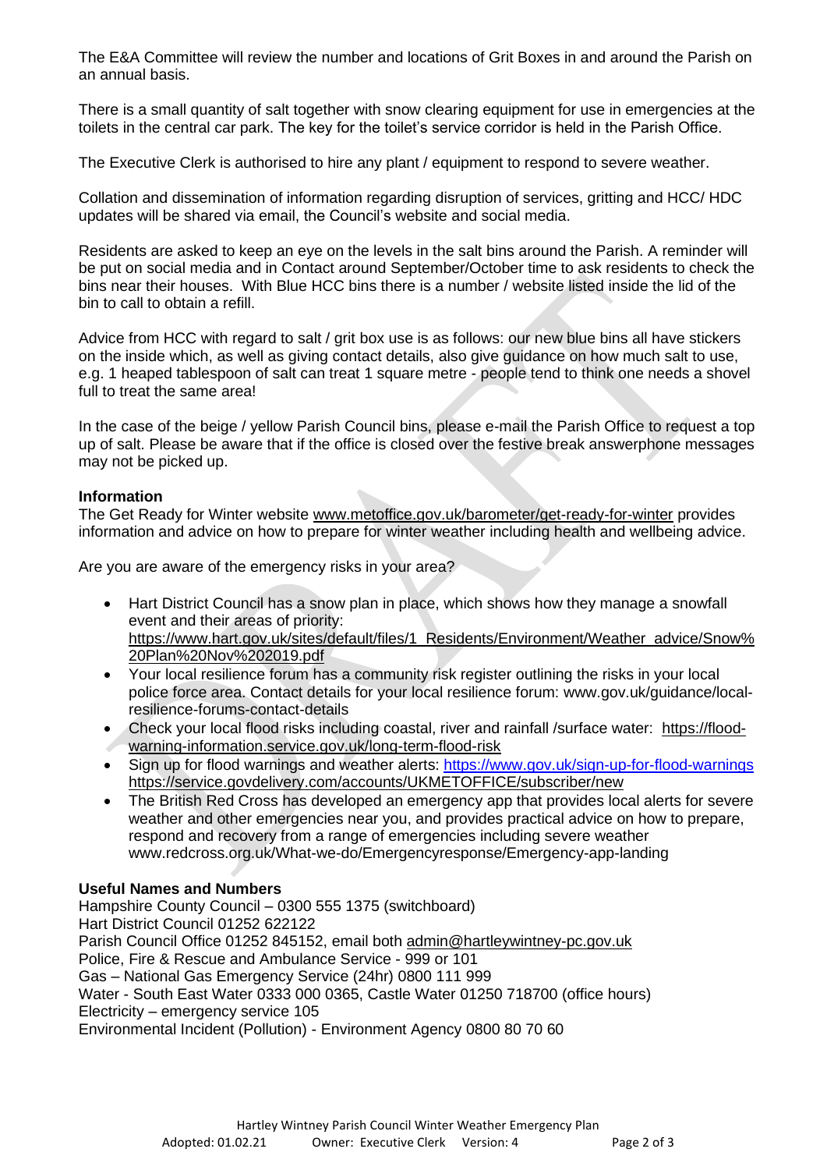The E&A Committee will review the number and locations of Grit Boxes in and around the Parish on an annual basis.

There is a small quantity of salt together with snow clearing equipment for use in emergencies at the toilets in the central car park. The key for the toilet's service corridor is held in the Parish Office.

The Executive Clerk is authorised to hire any plant / equipment to respond to severe weather.

Collation and dissemination of information regarding disruption of services, gritting and HCC/ HDC updates will be shared via email, the Council's website and social media.

Residents are asked to keep an eye on the levels in the salt bins around the Parish. A reminder will be put on social media and in Contact around September/October time to ask residents to check the bins near their houses. With Blue HCC bins there is a number / website listed inside the lid of the bin to call to obtain a refill.

Advice from HCC with regard to salt / grit box use is as follows: our new blue bins all have stickers on the inside which, as well as giving contact details, also give guidance on how much salt to use, e.g. 1 heaped tablespoon of salt can treat 1 square metre - people tend to think one needs a shovel full to treat the same area!

In the case of the beige / yellow Parish Council bins, please e-mail the Parish Office to request a top up of salt. Please be aware that if the office is closed over the festive break answerphone messages may not be picked up.

# **Information**

The Get Ready for Winter website [www.metoffice.gov.uk/barometer/get-ready-for-winter](http://www.metoffice.gov.uk/barometer/get-ready-for-winter) provides information and advice on how to prepare for winter weather including health and wellbeing advice.

Are you are aware of the emergency risks in your area?

- Hart District Council has a snow plan in place, which shows how they manage a snowfall event and their areas of priority: [https://www.hart.gov.uk/sites/default/files/1\\_Residents/Environment/Weather\\_advice/Snow%](https://www.hart.gov.uk/sites/default/files/1_Residents/Environment/Weather_advice/Snow%20Plan%20Nov%202019.pdf) [20Plan%20Nov%202019.pdf](https://www.hart.gov.uk/sites/default/files/1_Residents/Environment/Weather_advice/Snow%20Plan%20Nov%202019.pdf)
- Your local resilience forum has a community risk register outlining the risks in your local police force area. Contact details for your local resilience forum: www.gov.uk/guidance/localresilience-forums-contact-details
- Check your local flood risks including coastal, river and rainfall /surface water: [https://flood](https://flood-warning-information.service.gov.uk/long-term-flood-risk)[warning-information.service.gov.uk/long-term-flood-risk](https://flood-warning-information.service.gov.uk/long-term-flood-risk)
- Sign up for flood warnings and weather alerts: <https://www.gov.uk/sign-up-for-flood-warnings> <https://service.govdelivery.com/accounts/UKMETOFFICE/subscriber/new>
- The British Red Cross has developed an emergency app that provides local alerts for severe weather and other emergencies near you, and provides practical advice on how to prepare, respond and recovery from a range of emergencies including severe weather www.redcross.org.uk/What-we-do/Emergencyresponse/Emergency-app-landing

# **Useful Names and Numbers**

Hampshire County Council – 0300 555 1375 (switchboard) Hart District Council 01252 622122 Parish Council Office 01252 845152, email both [admin@hartleywintney-pc.gov.uk](mailto:admin@hartleywintney-pc.gov.uk) Police, Fire & Rescue and Ambulance Service - 999 or 101 Gas – National Gas Emergency Service (24hr) 0800 111 999 Water - South East Water 0333 000 0365, Castle Water 01250 718700 (office hours) Electricity – emergency service 105 Environmental Incident (Pollution) - Environment Agency 0800 80 70 60